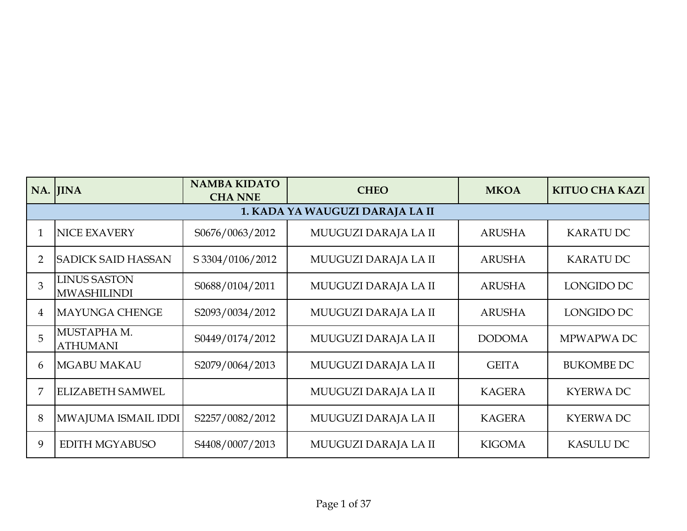|                | NA. JINA                                  | <b>NAMBA KIDATO</b><br><b>CHA NNE</b> | <b>CHEO</b>                     | <b>MKOA</b>   | <b>KITUO CHA KAZI</b> |
|----------------|-------------------------------------------|---------------------------------------|---------------------------------|---------------|-----------------------|
|                |                                           |                                       | 1. KADA YA WAUGUZI DARAJA LA II |               |                       |
|                | <b>NICE EXAVERY</b>                       | S0676/0063/2012                       | MUUGUZI DARAJA LA II            | <b>ARUSHA</b> | <b>KARATU DC</b>      |
| $\overline{2}$ | <b>SADICK SAID HASSAN</b>                 | S 3304/0106/2012                      | MUUGUZI DARAJA LA II            | <b>ARUSHA</b> | <b>KARATU DC</b>      |
| 3              | <b>LINUS SASTON</b><br><b>MWASHILINDI</b> | S0688/0104/2011                       | MUUGUZI DARAJA LA II            | <b>ARUSHA</b> | LONGIDO DC            |
| 4              | <b>MAYUNGA CHENGE</b>                     | S2093/0034/2012                       | MUUGUZI DARAJA LA II            | <b>ARUSHA</b> | LONGIDO DC            |
| 5              | MUSTAPHA M.<br><b>ATHUMANI</b>            | S0449/0174/2012                       | MUUGUZI DARAJA LA II            | <b>DODOMA</b> | MPWAPWA DC            |
| 6              | <b>MGABU MAKAU</b>                        | S2079/0064/2013                       | MUUGUZI DARAJA LA II            | <b>GEITA</b>  | <b>BUKOMBE DC</b>     |
|                | <b>ELIZABETH SAMWEL</b>                   |                                       | MUUGUZI DARAJA LA II            | <b>KAGERA</b> | <b>KYERWADC</b>       |
| 8              | MWAJUMA ISMAIL IDDI                       | S2257/0082/2012                       | MUUGUZI DARAJA LA II            | <b>KAGERA</b> | <b>KYERWADC</b>       |
| 9              | EDITH MGYABUSO                            | S4408/0007/2013                       | MUUGUZI DARAJA LA II            | <b>KIGOMA</b> | <b>KASULU DC</b>      |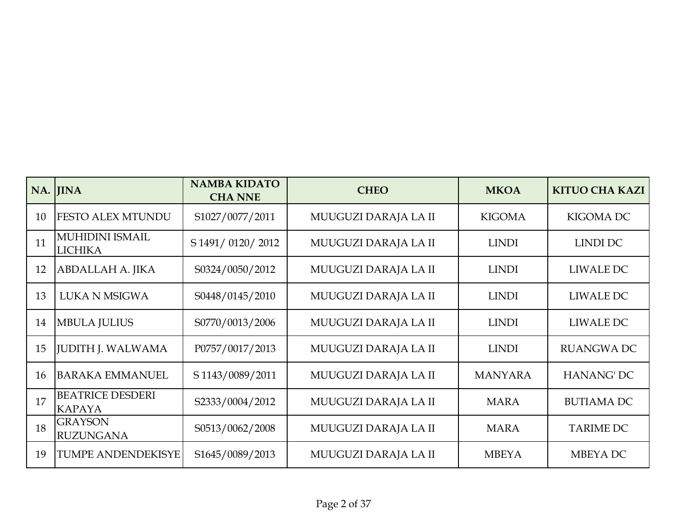|    | NA. JINA                                 | <b>NAMBA KIDATO</b><br><b>CHA NNE</b> | <b>CHEO</b>          | <b>MKOA</b>    | <b>KITUO CHA KAZI</b> |
|----|------------------------------------------|---------------------------------------|----------------------|----------------|-----------------------|
| 10 | <b>FESTO ALEX MTUNDU</b>                 | S1027/0077/2011                       | MUUGUZI DARAJA LA II | <b>KIGOMA</b>  | <b>KIGOMA DC</b>      |
| 11 | <b>MUHIDINI ISMAIL</b><br><b>LICHIKA</b> | S 1491/0120/2012                      | MUUGUZI DARAJA LA II | <b>LINDI</b>   | <b>LINDI DC</b>       |
| 12 | ABDALLAH A. JIKA                         | S0324/0050/2012                       | MUUGUZI DARAJA LA II | <b>LINDI</b>   | LIWALE DC             |
| 13 | <b>LUKA N MSIGWA</b>                     | S0448/0145/2010                       | MUUGUZI DARAJA LA II | <b>LINDI</b>   | LIWALE DC             |
| 14 | <b>MBULA JULIUS</b>                      | S0770/0013/2006                       | MUUGUZI DARAJA LA II | <b>LINDI</b>   | LIWALE DC             |
| 15 | <b>JUDITH J. WALWAMA</b>                 | P0757/0017/2013                       | MUUGUZI DARAJA LA II | <b>LINDI</b>   | <b>RUANGWA DC</b>     |
| 16 | <b>BARAKA EMMANUEL</b>                   | S 1143/0089/2011                      | MUUGUZI DARAJA LA II | <b>MANYARA</b> | <b>HANANG' DC</b>     |
| 17 | <b>BEATRICE DESDERI</b><br><b>KAPAYA</b> | S2333/0004/2012                       | MUUGUZI DARAJA LA II | <b>MARA</b>    | <b>BUTIAMA DC</b>     |
| 18 | <b>GRAYSON</b><br><b>RUZUNGANA</b>       | S0513/0062/2008                       | MUUGUZI DARAJA LA II | <b>MARA</b>    | <b>TARIME DC</b>      |
| 19 | TUMPE ANDENDEKISYE                       | S1645/0089/2013                       | MUUGUZI DARAJA LA II | <b>MBEYA</b>   | MBEYA DC              |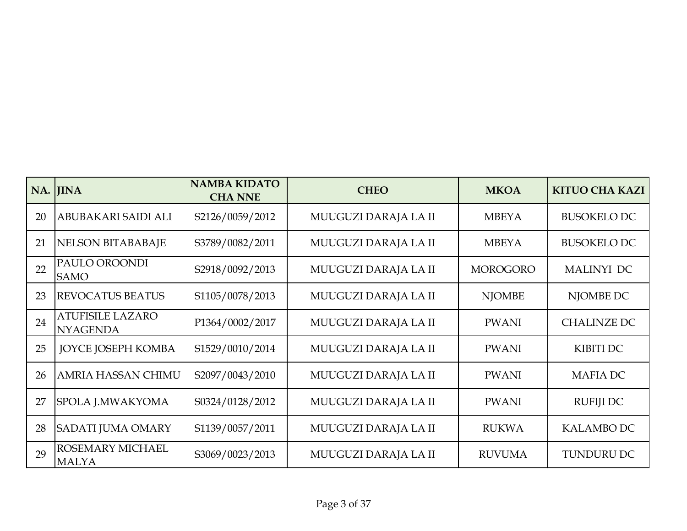|    | NA. JINA                                   | <b>NAMBA KIDATO</b><br><b>CHA NNE</b> | <b>CHEO</b>          | <b>MKOA</b>     | <b>KITUO CHA KAZI</b> |
|----|--------------------------------------------|---------------------------------------|----------------------|-----------------|-----------------------|
| 20 | ABUBAKARI SAIDI ALI                        | S2126/0059/2012                       | MUUGUZI DARAJA LA II | <b>MBEYA</b>    | <b>BUSOKELO DC</b>    |
| 21 | NELSON BITABABAJE                          | S3789/0082/2011                       | MUUGUZI DARAJA LA II | <b>MBEYA</b>    | <b>BUSOKELO DC</b>    |
| 22 | PAULO OROONDI<br><b>SAMO</b>               | S2918/0092/2013                       | MUUGUZI DARAJA LA II | <b>MOROGORO</b> | <b>MALINYI DC</b>     |
| 23 | <b>REVOCATUS BEATUS</b>                    | S1105/0078/2013                       | MUUGUZI DARAJA LA II | <b>NJOMBE</b>   | NJOMBE DC             |
| 24 | <b>ATUFISILE LAZARO</b><br><b>NYAGENDA</b> | P1364/0002/2017                       | MUUGUZI DARAJA LA II | <b>PWANI</b>    | <b>CHALINZE DC</b>    |
| 25 | <b>JOYCE JOSEPH KOMBA</b>                  | S1529/0010/2014                       | MUUGUZI DARAJA LA II | <b>PWANI</b>    | <b>KIBITI DC</b>      |
| 26 | AMRIA HASSAN CHIMU                         | S2097/0043/2010                       | MUUGUZI DARAJA LA II | <b>PWANI</b>    | <b>MAFIADC</b>        |
| 27 | SPOLA J.MWAKYOMA                           | S0324/0128/2012                       | MUUGUZI DARAJA LA II | <b>PWANI</b>    | <b>RUFIJI DC</b>      |
| 28 | <b>SADATI JUMA OMARY</b>                   | S1139/0057/2011                       | MUUGUZI DARAJA LA II | <b>RUKWA</b>    | <b>KALAMBO DC</b>     |
| 29 | ROSEMARY MICHAEL<br><b>MALYA</b>           | S3069/0023/2013                       | MUUGUZI DARAJA LA II | <b>RUVUMA</b>   | <b>TUNDURU DC</b>     |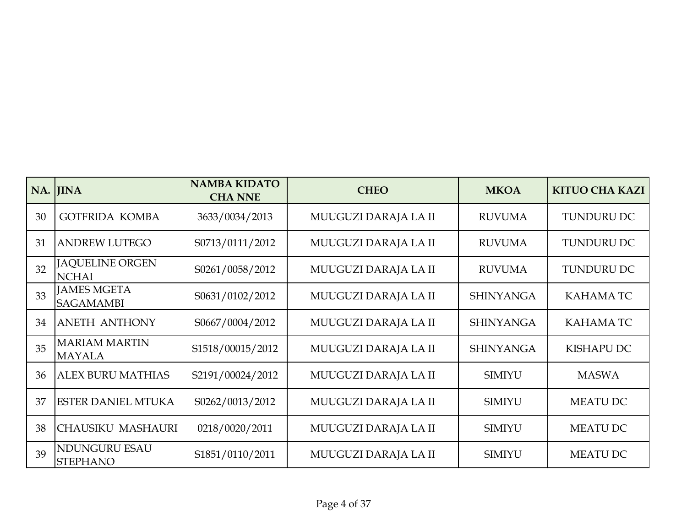|    | NA. JINA                                | <b>NAMBA KIDATO</b><br><b>CHA NNE</b> | <b>CHEO</b>          | <b>MKOA</b>      | <b>KITUO CHA KAZI</b> |
|----|-----------------------------------------|---------------------------------------|----------------------|------------------|-----------------------|
| 30 | <b>GOTFRIDA KOMBA</b>                   | 3633/0034/2013                        | MUUGUZI DARAJA LA II | <b>RUVUMA</b>    | <b>TUNDURU DC</b>     |
| 31 | <b>ANDREW LUTEGO</b>                    | S0713/0111/2012                       | MUUGUZI DARAJA LA II | <b>RUVUMA</b>    | <b>TUNDURU DC</b>     |
| 32 | <b>JAQUELINE ORGEN</b><br><b>NCHAI</b>  | S0261/0058/2012                       | MUUGUZI DARAJA LA II | <b>RUVUMA</b>    | <b>TUNDURU DC</b>     |
| 33 | <b>JAMES MGETA</b><br><b>SAGAMAMBI</b>  | S0631/0102/2012                       | MUUGUZI DARAJA LA II | <b>SHINYANGA</b> | <b>KAHAMATC</b>       |
| 34 | <b>ANETH ANTHONY</b>                    | S0667/0004/2012                       | MUUGUZI DARAJA LA II | <b>SHINYANGA</b> | <b>KAHAMATC</b>       |
| 35 | <b>MARIAM MARTIN</b><br><b>MAYALA</b>   | S1518/00015/2012                      | MUUGUZI DARAJA LA II | <b>SHINYANGA</b> | <b>KISHAPU DC</b>     |
| 36 | <b>ALEX BURU MATHIAS</b>                | S2191/00024/2012                      | MUUGUZI DARAJA LA II | <b>SIMIYU</b>    | <b>MASWA</b>          |
| 37 | <b>ESTER DANIEL MTUKA</b>               | S0262/0013/2012                       | MUUGUZI DARAJA LA II | <b>SIMIYU</b>    | <b>MEATU DC</b>       |
| 38 | <b>CHAUSIKU MASHAURI</b>                | 0218/0020/2011                        | MUUGUZI DARAJA LA II | <b>SIMIYU</b>    | <b>MEATU DC</b>       |
| 39 | <b>NDUNGURU ESAU</b><br><b>STEPHANO</b> | S1851/0110/2011                       | MUUGUZI DARAJA LA II | <b>SIMIYU</b>    | <b>MEATU DC</b>       |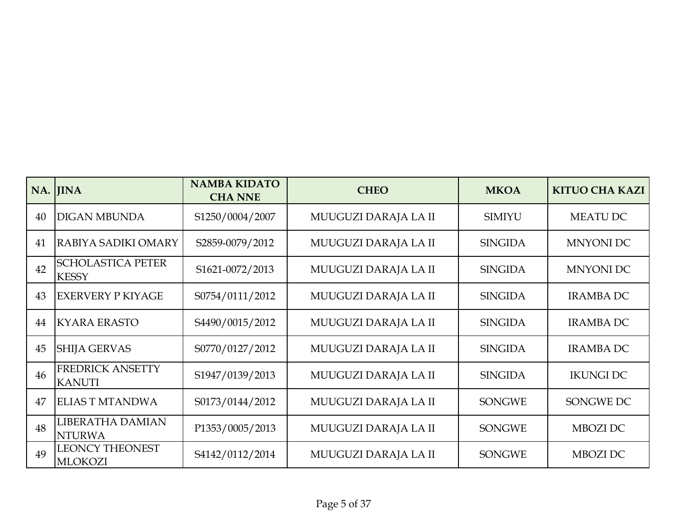|    | NA. JINA                                 | <b>NAMBA KIDATO</b><br><b>CHA NNE</b> | <b>CHEO</b>          | <b>MKOA</b>    | <b>KITUO CHA KAZI</b> |
|----|------------------------------------------|---------------------------------------|----------------------|----------------|-----------------------|
| 40 | <b>DIGAN MBUNDA</b>                      | S1250/0004/2007                       | MUUGUZI DARAJA LA II | <b>SIMIYU</b>  | <b>MEATU DC</b>       |
| 41 | RABIYA SADIKI OMARY                      | S2859-0079/2012                       | MUUGUZI DARAJA LA II | <b>SINGIDA</b> | <b>MNYONI DC</b>      |
| 42 | <b>SCHOLASTICA PETER</b><br><b>KESSY</b> | S1621-0072/2013                       | MUUGUZI DARAJA LA II | <b>SINGIDA</b> | <b>MNYONI DC</b>      |
| 43 | <b>EXERVERY P KIYAGE</b>                 | S0754/0111/2012                       | MUUGUZI DARAJA LA II | <b>SINGIDA</b> | <b>IRAMBA DC</b>      |
| 44 | <b>KYARA ERASTO</b>                      | S4490/0015/2012                       | MUUGUZI DARAJA LA II | <b>SINGIDA</b> | <b>IRAMBA DC</b>      |
| 45 | <b>SHIJA GERVAS</b>                      | S0770/0127/2012                       | MUUGUZI DARAJA LA II | <b>SINGIDA</b> | <b>IRAMBA DC</b>      |
| 46 | <b>FREDRICK ANSETTY</b><br><b>KANUTI</b> | S1947/0139/2013                       | MUUGUZI DARAJA LA II | <b>SINGIDA</b> | <b>IKUNGI DC</b>      |
| 47 | <b>ELIAS T MTANDWA</b>                   | S0173/0144/2012                       | MUUGUZI DARAJA LA II | <b>SONGWE</b>  | SONGWE DC             |
| 48 | <b>LIBERATHA DAMIAN</b><br><b>NTURWA</b> | P1353/0005/2013                       | MUUGUZI DARAJA LA II | <b>SONGWE</b>  | MBOZI DC              |
| 49 | <b>LEONCY THEONEST</b><br><b>MLOKOZI</b> | S4142/0112/2014                       | MUUGUZI DARAJA LA II | <b>SONGWE</b>  | MBOZI DC              |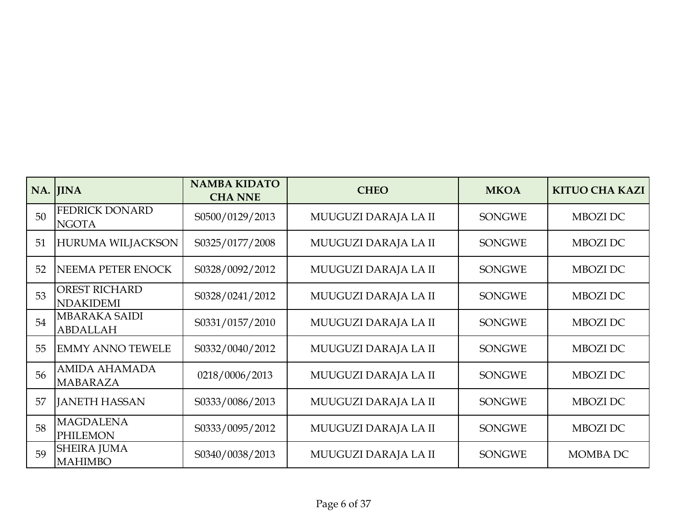|    | NA. JINA                                 | <b>NAMBA KIDATO</b><br><b>CHA NNE</b> | <b>CHEO</b>          | <b>MKOA</b>   | <b>KITUO CHA KAZI</b> |
|----|------------------------------------------|---------------------------------------|----------------------|---------------|-----------------------|
| 50 | <b>FEDRICK DONARD</b><br><b>NGOTA</b>    | S0500/0129/2013                       | MUUGUZI DARAJA LA II | <b>SONGWE</b> | MBOZI DC              |
| 51 | <b>HURUMA WILJACKSON</b>                 | S0325/0177/2008                       | MUUGUZI DARAJA LA II | <b>SONGWE</b> | MBOZI DC              |
| 52 | NEEMA PETER ENOCK                        | S0328/0092/2012                       | MUUGUZI DARAJA LA II | <b>SONGWE</b> | MBOZI DC              |
| 53 | <b>OREST RICHARD</b><br><b>NDAKIDEMI</b> | S0328/0241/2012                       | MUUGUZI DARAJA LA II | <b>SONGWE</b> | MBOZI DC              |
| 54 | <b>MBARAKA SAIDI</b><br><b>ABDALLAH</b>  | S0331/0157/2010                       | MUUGUZI DARAJA LA II | <b>SONGWE</b> | MBOZI DC              |
| 55 | <b>EMMY ANNO TEWELE</b>                  | S0332/0040/2012                       | MUUGUZI DARAJA LA II | <b>SONGWE</b> | MBOZI DC              |
| 56 | <b>AMIDA AHAMADA</b><br><b>MABARAZA</b>  | 0218/0006/2013                        | MUUGUZI DARAJA LA II | <b>SONGWE</b> | MBOZI DC              |
| 57 | <b>JANETH HASSAN</b>                     | S0333/0086/2013                       | MUUGUZI DARAJA LA II | <b>SONGWE</b> | MBOZI DC              |
| 58 | <b>MAGDALENA</b><br><b>PHILEMON</b>      | S0333/0095/2012                       | MUUGUZI DARAJA LA II | <b>SONGWE</b> | MBOZI DC              |
| 59 | <b>SHEIRA JUMA</b><br><b>MAHIMBO</b>     | S0340/0038/2013                       | MUUGUZI DARAJA LA II | <b>SONGWE</b> | <b>MOMBA DC</b>       |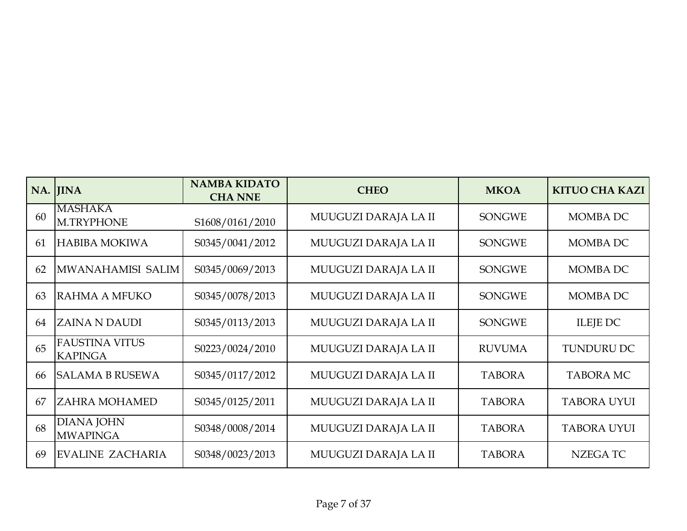|    | NA. JINA                                | <b>NAMBA KIDATO</b><br><b>CHA NNE</b> | <b>CHEO</b>          | <b>MKOA</b>   | <b>KITUO CHA KAZI</b> |
|----|-----------------------------------------|---------------------------------------|----------------------|---------------|-----------------------|
| 60 | <b>MASHAKA</b><br><b>M.TRYPHONE</b>     | S1608/0161/2010                       | MUUGUZI DARAJA LA II | <b>SONGWE</b> | <b>MOMBA DC</b>       |
| 61 | <b>HABIBA MOKIWA</b>                    | S0345/0041/2012                       | MUUGUZI DARAJA LA II | <b>SONGWE</b> | MOMBA DC              |
| 62 | MWANAHAMISI SALIM                       | S0345/0069/2013                       | MUUGUZI DARAJA LA II | <b>SONGWE</b> | <b>MOMBA DC</b>       |
| 63 | RAHMA A MFUKO                           | S0345/0078/2013                       | MUUGUZI DARAJA LA II | <b>SONGWE</b> | <b>MOMBA DC</b>       |
| 64 | <b>ZAINA N DAUDI</b>                    | S0345/0113/2013                       | MUUGUZI DARAJA LA II | <b>SONGWE</b> | <b>ILEJE DC</b>       |
| 65 | <b>FAUSTINA VITUS</b><br><b>KAPINGA</b> | S0223/0024/2010                       | MUUGUZI DARAJA LA II | <b>RUVUMA</b> | <b>TUNDURU DC</b>     |
| 66 | <b>SALAMA B RUSEWA</b>                  | S0345/0117/2012                       | MUUGUZI DARAJA LA II | <b>TABORA</b> | <b>TABORA MC</b>      |
| 67 | <b>ZAHRA MOHAMED</b>                    | S0345/0125/2011                       | MUUGUZI DARAJA LA II | <b>TABORA</b> | <b>TABORA UYUI</b>    |
| 68 | <b>DIANA JOHN</b><br><b>MWAPINGA</b>    | S0348/0008/2014                       | MUUGUZI DARAJA LA II | <b>TABORA</b> | <b>TABORA UYUI</b>    |
| 69 | EVALINE ZACHARIA                        | S0348/0023/2013                       | MUUGUZI DARAJA LA II | <b>TABORA</b> | <b>NZEGATC</b>        |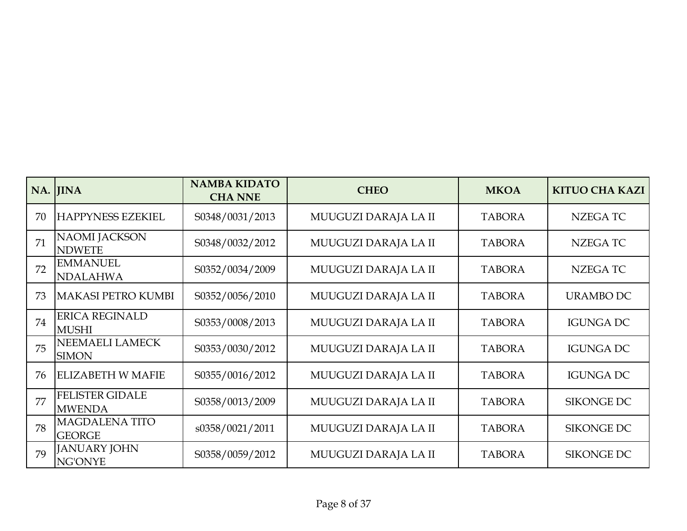|    | NA. JINA                                | <b>NAMBA KIDATO</b><br><b>CHA NNE</b> | <b>CHEO</b>          | <b>MKOA</b>   | <b>KITUO CHA KAZI</b> |
|----|-----------------------------------------|---------------------------------------|----------------------|---------------|-----------------------|
| 70 | <b>HAPPYNESS EZEKIEL</b>                | S0348/0031/2013                       | MUUGUZI DARAJA LA II | <b>TABORA</b> | <b>NZEGATC</b>        |
| 71 | <b>NAOMI JACKSON</b><br><b>NDWETE</b>   | S0348/0032/2012                       | MUUGUZI DARAJA LA II | <b>TABORA</b> | NZEGA TC              |
| 72 | <b>EMMANUEL</b><br><b>NDALAHWA</b>      | S0352/0034/2009                       | MUUGUZI DARAJA LA II | <b>TABORA</b> | <b>NZEGATC</b>        |
| 73 | <b>MAKASI PETRO KUMBI</b>               | S0352/0056/2010                       | MUUGUZI DARAJA LA II | <b>TABORA</b> | <b>URAMBO DC</b>      |
| 74 | <b>ERICA REGINALD</b><br><b>MUSHI</b>   | S0353/0008/2013                       | MUUGUZI DARAJA LA II | <b>TABORA</b> | <b>IGUNGA DC</b>      |
| 75 | NEEMAELI LAMECK<br><b>SIMON</b>         | S0353/0030/2012                       | MUUGUZI DARAJA LA II | <b>TABORA</b> | <b>IGUNGA DC</b>      |
| 76 | <b>ELIZABETH W MAFIE</b>                | S0355/0016/2012                       | MUUGUZI DARAJA LA II | <b>TABORA</b> | <b>IGUNGA DC</b>      |
| 77 | <b>FELISTER GIDALE</b><br><b>MWENDA</b> | S0358/0013/2009                       | MUUGUZI DARAJA LA II | <b>TABORA</b> | <b>SIKONGE DC</b>     |
| 78 | <b>MAGDALENA TITO</b><br><b>GEORGE</b>  | s0358/0021/2011                       | MUUGUZI DARAJA LA II | <b>TABORA</b> | <b>SIKONGE DC</b>     |
| 79 | <b>JANUARY JOHN</b><br>NG'ONYE          | S0358/0059/2012                       | MUUGUZI DARAJA LA II | <b>TABORA</b> | SIKONGE DC            |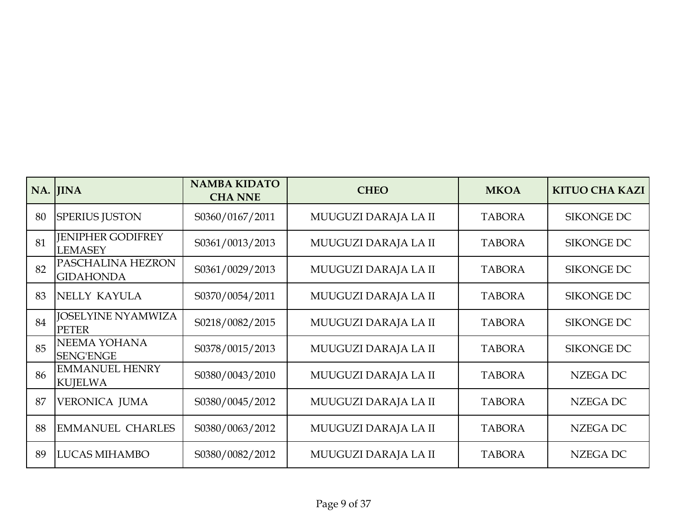|    | NA. JINA                                   | <b>NAMBA KIDATO</b><br><b>CHA NNE</b> | <b>CHEO</b>          | <b>MKOA</b>   | <b>KITUO CHA KAZI</b> |
|----|--------------------------------------------|---------------------------------------|----------------------|---------------|-----------------------|
| 80 | <b>SPERIUS JUSTON</b>                      | S0360/0167/2011                       | MUUGUZI DARAJA LA II | <b>TABORA</b> | <b>SIKONGE DC</b>     |
| 81 | <b>IENIPHER GODIFREY</b><br><b>LEMASEY</b> | S0361/0013/2013                       | MUUGUZI DARAJA LA II | <b>TABORA</b> | <b>SIKONGE DC</b>     |
| 82 | PASCHALINA HEZRON<br><b>GIDAHONDA</b>      | S0361/0029/2013                       | MUUGUZI DARAJA LA II | <b>TABORA</b> | <b>SIKONGE DC</b>     |
| 83 | NELLY KAYULA                               | S0370/0054/2011                       | MUUGUZI DARAJA LA II | <b>TABORA</b> | <b>SIKONGE DC</b>     |
| 84 | <b>JOSELYINE NYAMWIZA</b><br><b>PETER</b>  | S0218/0082/2015                       | MUUGUZI DARAJA LA II | <b>TABORA</b> | <b>SIKONGE DC</b>     |
| 85 | NEEMA YOHANA<br><b>SENG'ENGE</b>           | S0378/0015/2013                       | MUUGUZI DARAJA LA II | <b>TABORA</b> | <b>SIKONGE DC</b>     |
| 86 | <b>EMMANUEL HENRY</b><br><b>KUJELWA</b>    | S0380/0043/2010                       | MUUGUZI DARAJA LA II | <b>TABORA</b> | <b>NZEGA DC</b>       |
| 87 | <b>VERONICA JUMA</b>                       | S0380/0045/2012                       | MUUGUZI DARAJA LA II | <b>TABORA</b> | NZEGA DC              |
| 88 | <b>EMMANUEL CHARLES</b>                    | S0380/0063/2012                       | MUUGUZI DARAJA LA II | <b>TABORA</b> | <b>NZEGA DC</b>       |
| 89 | <b>LUCAS MIHAMBO</b>                       | S0380/0082/2012                       | MUUGUZI DARAJA LA II | <b>TABORA</b> | NZEGA DC              |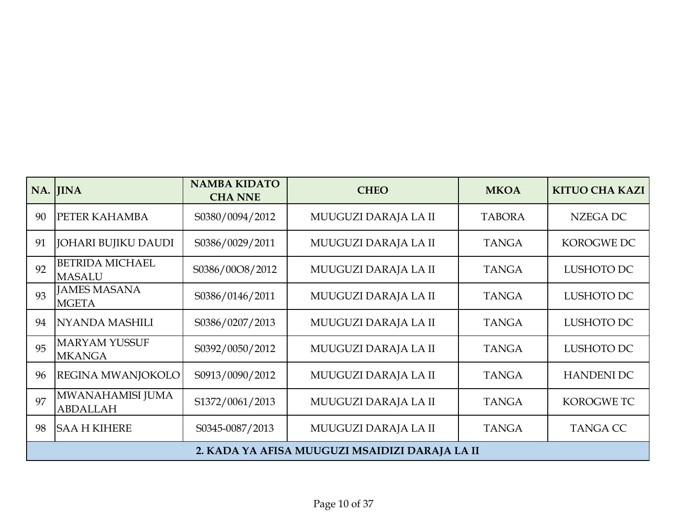|    | NA. JINA                                | <b>NAMBA KIDATO</b><br><b>CHA NNE</b> | <b>CHEO</b>                                    | <b>MKOA</b>   | <b>KITUO CHA KAZI</b> |
|----|-----------------------------------------|---------------------------------------|------------------------------------------------|---------------|-----------------------|
| 90 | PETER KAHAMBA                           | S0380/0094/2012                       | MUUGUZI DARAJA LA II                           | <b>TABORA</b> | <b>NZEGA DC</b>       |
| 91 | <b>JOHARI BUJIKU DAUDI</b>              | S0386/0029/2011                       | MUUGUZI DARAJA LA II                           | <b>TANGA</b>  | <b>KOROGWE DC</b>     |
| 92 | <b>BETRIDA MICHAEL</b><br><b>MASALU</b> | S0386/00O8/2012                       | MUUGUZI DARAJA LA II                           | <b>TANGA</b>  | LUSHOTO DC            |
| 93 | <b>JAMES MASANA</b><br><b>MGETA</b>     | S0386/0146/2011                       | MUUGUZI DARAJA LA II                           | <b>TANGA</b>  | LUSHOTO DC            |
| 94 | <b>NYANDA MASHILI</b>                   | S0386/0207/2013                       | MUUGUZI DARAJA LA II                           | <b>TANGA</b>  | LUSHOTO DC            |
| 95 | <b>MARYAM YUSSUF</b><br><b>MKANGA</b>   | S0392/0050/2012                       | MUUGUZI DARAJA LA II                           | <b>TANGA</b>  | LUSHOTO DC            |
| 96 | <b>REGINA MWANJOKOLO</b>                | S0913/0090/2012                       | MUUGUZI DARAJA LA II                           | <b>TANGA</b>  | <b>HANDENI DC</b>     |
| 97 | MWANAHAMISI JUMA<br><b>ABDALLAH</b>     | S1372/0061/2013                       | MUUGUZI DARAJA LA II                           | <b>TANGA</b>  | <b>KOROGWETC</b>      |
| 98 | <b>SAA H KIHERE</b>                     | S0345-0087/2013                       | MUUGUZI DARAJA LA II                           | <b>TANGA</b>  | <b>TANGA CC</b>       |
|    |                                         |                                       | 2. KADA YA AFISA MUUGUZI MSAIDIZI DARAJA LA II |               |                       |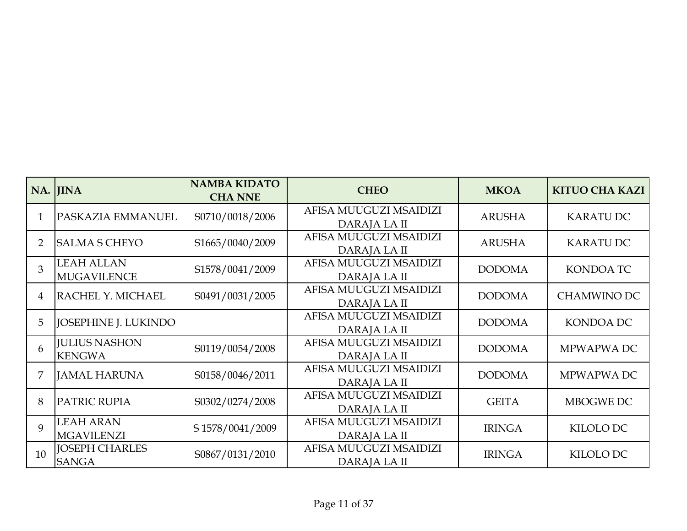|                 | NA. JINA                                | <b>NAMBA KIDATO</b><br><b>CHA NNE</b> | <b>CHEO</b>                            | <b>MKOA</b>   | <b>KITUO CHA KAZI</b> |
|-----------------|-----------------------------------------|---------------------------------------|----------------------------------------|---------------|-----------------------|
| $\mathbf{1}$    | PASKAZIA EMMANUEL                       | S0710/0018/2006                       | AFISA MUUGUZI MSAIDIZI<br>DARAJA LA II | <b>ARUSHA</b> | <b>KARATU DC</b>      |
| $\overline{2}$  | <b>SALMA S CHEYO</b>                    | S1665/0040/2009                       | AFISA MUUGUZI MSAIDIZI<br>DARAJA LA II | <b>ARUSHA</b> | <b>KARATU DC</b>      |
| 3               | <b>LEAH ALLAN</b><br><b>MUGAVILENCE</b> | S1578/0041/2009                       | AFISA MUUGUZI MSAIDIZI<br>DARAJA LA II | <b>DODOMA</b> | <b>KONDOA TC</b>      |
| 4               | RACHEL Y. MICHAEL                       | S0491/0031/2005                       | AFISA MUUGUZI MSAIDIZI<br>DARAJA LA II | <b>DODOMA</b> | <b>CHAMWINO DC</b>    |
| 5               | <b>JOSEPHINE J. LUKINDO</b>             |                                       | AFISA MUUGUZI MSAIDIZI<br>DARAJA LA II | <b>DODOMA</b> | KONDOA DC             |
| 6               | <b>JULIUS NASHON</b><br><b>KENGWA</b>   | S0119/0054/2008                       | AFISA MUUGUZI MSAIDIZI<br>DARAJA LA II | <b>DODOMA</b> | MPWAPWA DC            |
| 7               | <b>JAMAL HARUNA</b>                     | S0158/0046/2011                       | AFISA MUUGUZI MSAIDIZI<br>DARAJA LA II | <b>DODOMA</b> | MPWAPWA DC            |
| 8               | <b>PATRIC RUPIA</b>                     | S0302/0274/2008                       | AFISA MUUGUZI MSAIDIZI<br>DARAJA LA II | <b>GEITA</b>  | MBOGWE DC             |
| 9               | <b>LEAH ARAN</b><br><b>MGAVILENZI</b>   | S 1578/0041/2009                      | AFISA MUUGUZI MSAIDIZI<br>DARAJA LA II | <b>IRINGA</b> | KILOLO DC             |
| 10 <sup>1</sup> | <b>JOSEPH CHARLES</b><br><b>SANGA</b>   | S0867/0131/2010                       | AFISA MUUGUZI MSAIDIZI<br>DARAJA LA II | <b>IRINGA</b> | KILOLO DC             |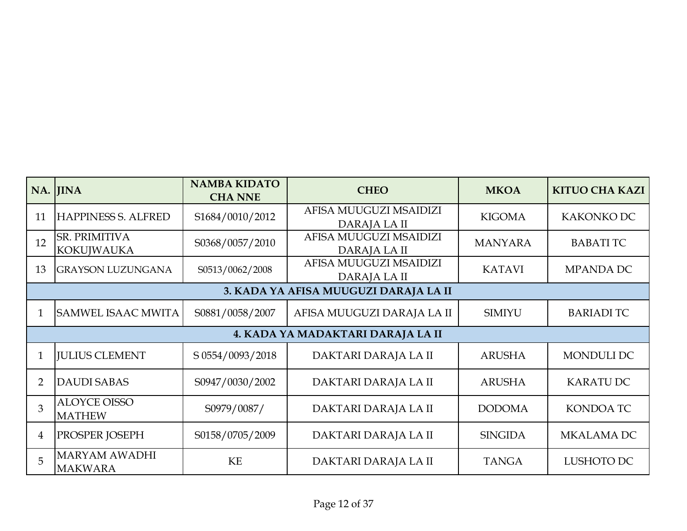|                | NA. JINA                                  | <b>NAMBA KIDATO</b><br><b>CHA NNE</b> | <b>CHEO</b>                            | <b>MKOA</b>    | <b>KITUO CHA KAZI</b> |  |  |  |
|----------------|-------------------------------------------|---------------------------------------|----------------------------------------|----------------|-----------------------|--|--|--|
| 11             | <b>HAPPINESS S. ALFRED</b>                | S1684/0010/2012                       | AFISA MUUGUZI MSAIDIZI<br>DARAJA LA II | <b>KIGOMA</b>  | KAKONKO DC            |  |  |  |
| 12             | <b>SR. PRIMITIVA</b><br><b>KOKUJWAUKA</b> | S0368/0057/2010                       | AFISA MUUGUZI MSAIDIZI<br>DARAJA LA II | <b>MANYARA</b> | <b>BABATI TC</b>      |  |  |  |
| 13             | <b>GRAYSON LUZUNGANA</b>                  | S0513/0062/2008                       | AFISA MUUGUZI MSAIDIZI<br>DARAJA LA II | <b>KATAVI</b>  | MPANDA DC             |  |  |  |
|                | 3. KADA YA AFISA MUUGUZI DARAJA LA II     |                                       |                                        |                |                       |  |  |  |
| $\mathbf{1}$   | SAMWEL ISAAC MWITA                        | S0881/0058/2007                       | AFISA MUUGUZI DARAJA LA II             | <b>SIMIYU</b>  | <b>BARIADI TC</b>     |  |  |  |
|                |                                           |                                       | 4. KADA YA MADAKTARI DARAJA LA II      |                |                       |  |  |  |
|                | <b>JULIUS CLEMENT</b>                     | S 0554/0093/2018                      | DAKTARI DARAJA LA II                   | <b>ARUSHA</b>  | <b>MONDULI DC</b>     |  |  |  |
| $\overline{2}$ | <b>DAUDI SABAS</b>                        | S0947/0030/2002                       | DAKTARI DARAJA LA II                   | <b>ARUSHA</b>  | <b>KARATU DC</b>      |  |  |  |
| 3              | <b>ALOYCE OISSO</b><br><b>MATHEW</b>      | S0979/0087/                           | DAKTARI DARAJA LA II                   | <b>DODOMA</b>  | <b>KONDOA TC</b>      |  |  |  |
| 4              | PROSPER JOSEPH                            | S0158/0705/2009                       | DAKTARI DARAJA LA II                   | <b>SINGIDA</b> | <b>MKALAMA DC</b>     |  |  |  |
| 5              | <b>MARYAM AWADHI</b><br><b>MAKWARA</b>    | <b>KE</b>                             | DAKTARI DARAJA LA II                   | <b>TANGA</b>   | LUSHOTO DC            |  |  |  |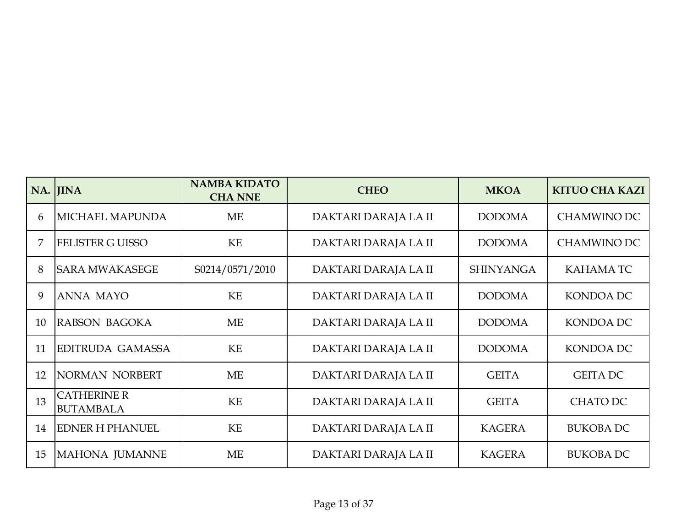|    | NA. JINA                               | <b>NAMBA KIDATO</b><br><b>CHA NNE</b> | <b>CHEO</b>          | <b>MKOA</b>      | <b>KITUO CHA KAZI</b> |
|----|----------------------------------------|---------------------------------------|----------------------|------------------|-----------------------|
| 6  | <b>MICHAEL MAPUNDA</b>                 | <b>ME</b>                             | DAKTARI DARAJA LA II | <b>DODOMA</b>    | <b>CHAMWINO DC</b>    |
|    | <b>FELISTER G UISSO</b>                | KE                                    | DAKTARI DARAJA LA II | <b>DODOMA</b>    | <b>CHAMWINO DC</b>    |
| 8  | <b>SARA MWAKASEGE</b>                  | S0214/0571/2010                       | DAKTARI DARAJA LA II | <b>SHINYANGA</b> | <b>KAHAMATC</b>       |
| 9  | <b>ANNA MAYO</b>                       | <b>KE</b>                             | DAKTARI DARAJA LA II | <b>DODOMA</b>    | <b>KONDOA DC</b>      |
| 10 | RABSON BAGOKA                          | <b>ME</b>                             | DAKTARI DARAJA LA II | <b>DODOMA</b>    | KONDOA DC             |
| 11 | <b>EDITRUDA GAMASSA</b>                | KE                                    | DAKTARI DARAJA LA II | <b>DODOMA</b>    | KONDOA DC             |
| 12 | NORMAN NORBERT                         | <b>ME</b>                             | DAKTARI DARAJA LA II | <b>GEITA</b>     | <b>GEITA DC</b>       |
| 13 | <b>CATHERINE R</b><br><b>BUTAMBALA</b> | KE                                    | DAKTARI DARAJA LA II | <b>GEITA</b>     | <b>CHATO DC</b>       |
| 14 | <b>EDNER H PHANUEL</b>                 | KE                                    | DAKTARI DARAJA LA II | <b>KAGERA</b>    | <b>BUKOBA DC</b>      |
| 15 | MAHONA JUMANNE                         | <b>ME</b>                             | DAKTARI DARAJA LA II | <b>KAGERA</b>    | <b>BUKOBA DC</b>      |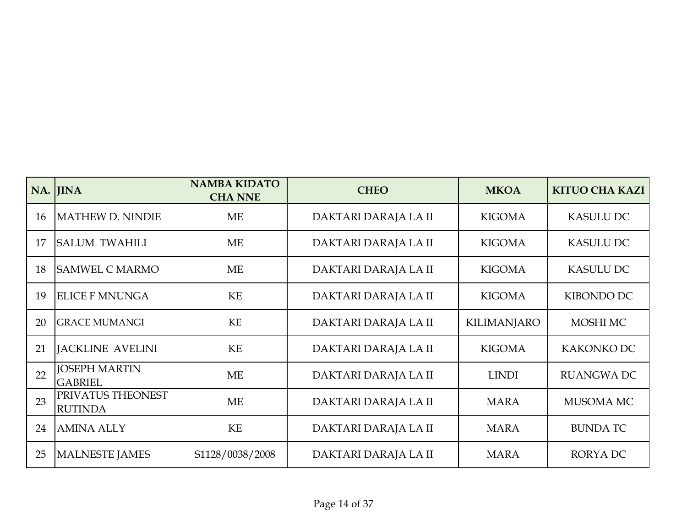|    | NA. JINA                               | <b>NAMBA KIDATO</b><br><b>CHA NNE</b> | <b>CHEO</b>          | <b>MKOA</b>        | <b>KITUO CHA KAZI</b> |
|----|----------------------------------------|---------------------------------------|----------------------|--------------------|-----------------------|
| 16 | MATHEW D. NINDIE                       | <b>ME</b>                             | DAKTARI DARAJA LA II | <b>KIGOMA</b>      | <b>KASULU DC</b>      |
| 17 | <b>SALUM TWAHILI</b>                   | <b>ME</b>                             | DAKTARI DARAJA LA II | <b>KIGOMA</b>      | <b>KASULU DC</b>      |
| 18 | <b>SAMWEL C MARMO</b>                  | <b>ME</b>                             | DAKTARI DARAJA LA II | <b>KIGOMA</b>      | <b>KASULU DC</b>      |
| 19 | <b>ELICE F MNUNGA</b>                  | <b>KE</b>                             | DAKTARI DARAJA LA II | <b>KIGOMA</b>      | KIBONDO DC            |
| 20 | <b>GRACE MUMANGI</b>                   | KE                                    | DAKTARI DARAJA LA II | <b>KILIMANJARO</b> | MOSHI MC              |
| 21 | <b>JACKLINE AVELINI</b>                | KE                                    | DAKTARI DARAJA LA II | <b>KIGOMA</b>      | KAKONKO DC            |
| 22 | <b>JOSEPH MARTIN</b><br><b>GABRIEL</b> | ME                                    | DAKTARI DARAJA LA II | <b>LINDI</b>       | <b>RUANGWA DC</b>     |
| 23 | PRIVATUS THEONEST<br><b>RUTINDA</b>    | <b>ME</b>                             | DAKTARI DARAJA LA II | <b>MARA</b>        | MUSOMA MC             |
| 24 | <b>AMINA ALLY</b>                      | KE                                    | DAKTARI DARAJA LA II | <b>MARA</b>        | <b>BUNDATC</b>        |
| 25 | MALNESTE JAMES                         | S1128/0038/2008                       | DAKTARI DARAJA LA II | <b>MARA</b>        | <b>RORYADC</b>        |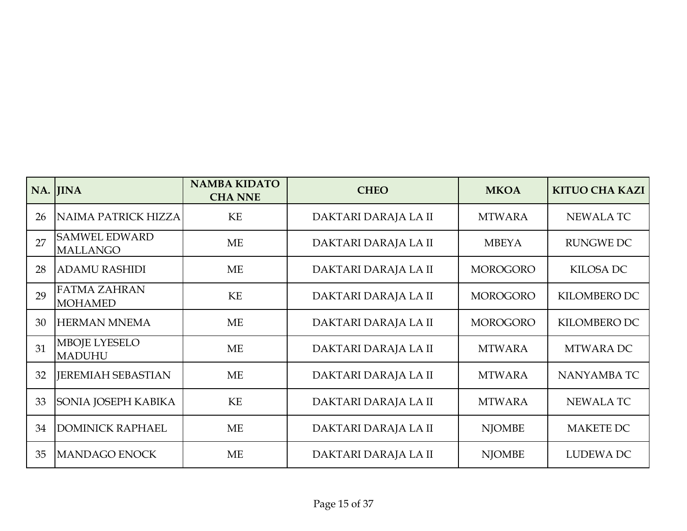|    | NA. JINA                                | <b>NAMBA KIDATO</b><br><b>CHA NNE</b> | <b>CHEO</b>          | <b>MKOA</b>     | <b>KITUO CHA KAZI</b> |
|----|-----------------------------------------|---------------------------------------|----------------------|-----------------|-----------------------|
| 26 | NAIMA PATRICK HIZZA                     | KE                                    | DAKTARI DARAJA LA II | <b>MTWARA</b>   | <b>NEWALATC</b>       |
| 27 | <b>SAMWEL EDWARD</b><br><b>MALLANGO</b> | <b>ME</b>                             | DAKTARI DARAJA LA II | <b>MBEYA</b>    | <b>RUNGWE DC</b>      |
| 28 | <b>ADAMU RASHIDI</b>                    | <b>ME</b>                             | DAKTARI DARAJA LA II | <b>MOROGORO</b> | <b>KILOSA DC</b>      |
| 29 | <b>FATMA ZAHRAN</b><br><b>MOHAMED</b>   | <b>KE</b>                             | DAKTARI DARAJA LA II | <b>MOROGORO</b> | <b>KILOMBERO DC</b>   |
| 30 | <b>HERMAN MNEMA</b>                     | <b>ME</b>                             | DAKTARI DARAJA LA II | <b>MOROGORO</b> | KILOMBERO DC          |
| 31 | <b>MBOJE LYESELO</b><br><b>MADUHU</b>   | ME                                    | DAKTARI DARAJA LA II | <b>MTWARA</b>   | MTWARA DC             |
| 32 | <b>JEREMIAH SEBASTIAN</b>               | <b>ME</b>                             | DAKTARI DARAJA LA II | <b>MTWARA</b>   | NANYAMBA TC           |
| 33 | SONIA JOSEPH KABIKA                     | KE                                    | DAKTARI DARAJA LA II | <b>MTWARA</b>   | <b>NEWALATC</b>       |
| 34 | <b>DOMINICK RAPHAEL</b>                 | ME                                    | DAKTARI DARAJA LA II | <b>NJOMBE</b>   | <b>MAKETE DC</b>      |
| 35 | MANDAGO ENOCK                           | <b>ME</b>                             | DAKTARI DARAJA LA II | <b>NJOMBE</b>   | LUDEWA DC             |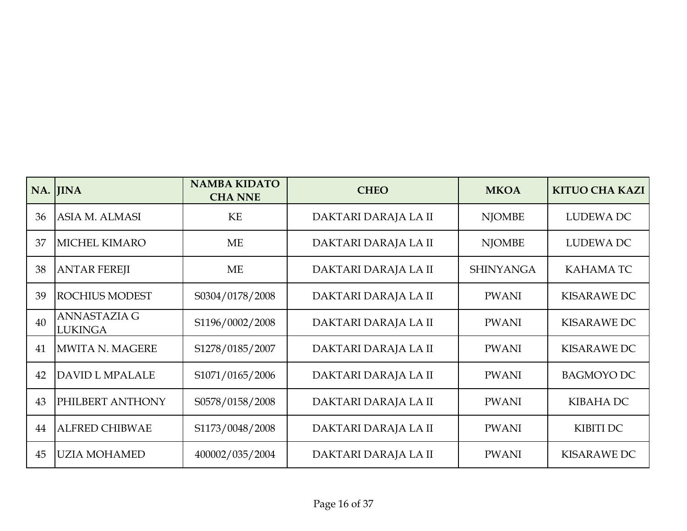|    | NA. JINA                              | <b>NAMBA KIDATO</b><br><b>CHA NNE</b> | <b>CHEO</b>          | <b>MKOA</b>      | <b>KITUO CHA KAZI</b> |
|----|---------------------------------------|---------------------------------------|----------------------|------------------|-----------------------|
| 36 | ASIA M. ALMASI                        | <b>KE</b>                             | DAKTARI DARAJA LA II | <b>NJOMBE</b>    | <b>LUDEWA DC</b>      |
| 37 | <b>MICHEL KIMARO</b>                  | <b>ME</b>                             | DAKTARI DARAJA LA II | <b>NJOMBE</b>    | LUDEWA DC             |
| 38 | <b>ANTAR FEREJI</b>                   | <b>ME</b>                             | DAKTARI DARAJA LA II | <b>SHINYANGA</b> | <b>KAHAMATC</b>       |
| 39 | <b>ROCHIUS MODEST</b>                 | S0304/0178/2008                       | DAKTARI DARAJA LA II | <b>PWANI</b>     | <b>KISARAWE DC</b>    |
| 40 | <b>ANNASTAZIA G</b><br><b>LUKINGA</b> | S1196/0002/2008                       | DAKTARI DARAJA LA II | <b>PWANI</b>     | <b>KISARAWE DC</b>    |
| 41 | MWITA N. MAGERE                       | S1278/0185/2007                       | DAKTARI DARAJA LA II | <b>PWANI</b>     | <b>KISARAWE DC</b>    |
| 42 | DAVID L MPALALE                       | S1071/0165/2006                       | DAKTARI DARAJA LA II | <b>PWANI</b>     | <b>BAGMOYO DC</b>     |
| 43 | PHILBERT ANTHONY                      | S0578/0158/2008                       | DAKTARI DARAJA LA II | <b>PWANI</b>     | <b>KIBAHA DC</b>      |
| 44 | <b>ALFRED CHIBWAE</b>                 | S1173/0048/2008                       | DAKTARI DARAJA LA II | <b>PWANI</b>     | <b>KIBITI DC</b>      |
| 45 | <b>UZIA MOHAMED</b>                   | 400002/035/2004                       | DAKTARI DARAJA LA II | <b>PWANI</b>     | <b>KISARAWE DC</b>    |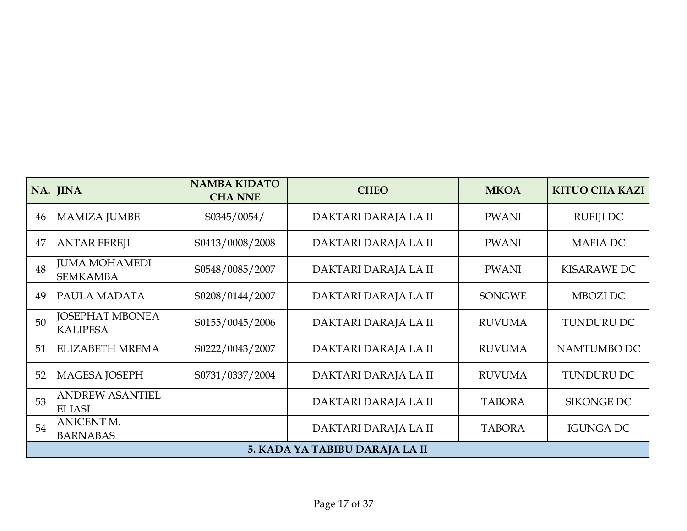|    | NA. JINA                                  | <b>NAMBA KIDATO</b><br><b>CHA NNE</b> | <b>CHEO</b>                    | <b>MKOA</b>   | <b>KITUO CHA KAZI</b> |
|----|-------------------------------------------|---------------------------------------|--------------------------------|---------------|-----------------------|
| 46 | MAMIZA JUMBE                              | S0345/0054/                           | DAKTARI DARAJA LA II           | <b>PWANI</b>  | <b>RUFIJI DC</b>      |
| 47 | <b>ANTAR FEREJI</b>                       | S0413/0008/2008                       | DAKTARI DARAJA LA II           | <b>PWANI</b>  | <b>MAFIA DC</b>       |
| 48 | <b>JUMA MOHAMEDI</b><br><b>SEMKAMBA</b>   | S0548/0085/2007                       | DAKTARI DARAJA LA II           | <b>PWANI</b>  | <b>KISARAWE DC</b>    |
| 49 | <b>PAULA MADATA</b>                       | S0208/0144/2007                       | DAKTARI DARAJA LA II           | <b>SONGWE</b> | MBOZI DC              |
| 50 | <b>JOSEPHAT MBONEA</b><br><b>KALIPESA</b> | S0155/0045/2006                       | DAKTARI DARAJA LA II           | <b>RUVUMA</b> | <b>TUNDURU DC</b>     |
| 51 | <b>ELIZABETH MREMA</b>                    | S0222/0043/2007                       | DAKTARI DARAJA LA II           | <b>RUVUMA</b> | NAMTUMBO DC           |
| 52 | MAGESA JOSEPH                             | S0731/0337/2004                       | DAKTARI DARAJA LA II           | <b>RUVUMA</b> | <b>TUNDURU DC</b>     |
| 53 | <b>ANDREW ASANTIEL</b><br><b>ELIASI</b>   |                                       | DAKTARI DARAJA LA II           | <b>TABORA</b> | <b>SIKONGE DC</b>     |
| 54 | <b>ANICENT M.</b><br><b>BARNABAS</b>      |                                       | DAKTARI DARAJA LA II           | <b>TABORA</b> | <b>IGUNGA DC</b>      |
|    |                                           |                                       | 5. KADA YA TABIBU DARAJA LA II |               |                       |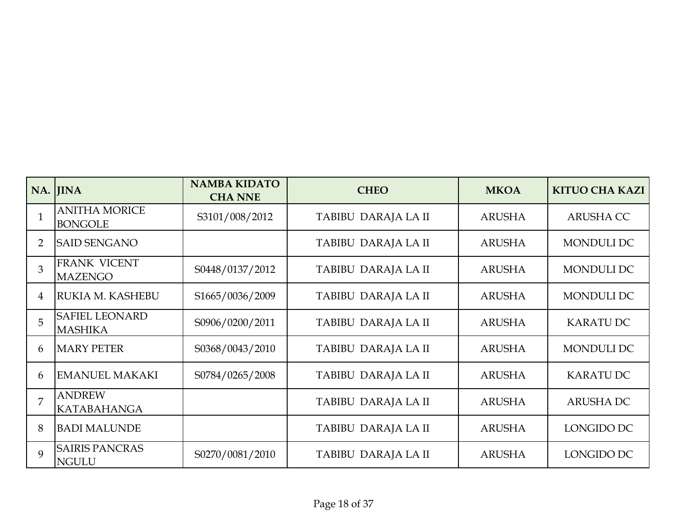|                | NA. JINA                                | <b>NAMBA KIDATO</b><br><b>CHA NNE</b> | <b>CHEO</b>         | <b>MKOA</b>   | <b>KITUO CHA KAZI</b> |
|----------------|-----------------------------------------|---------------------------------------|---------------------|---------------|-----------------------|
|                | <b>ANITHA MORICE</b><br><b>BONGOLE</b>  | S3101/008/2012                        | TABIBU DARAJA LA II | <b>ARUSHA</b> | <b>ARUSHA CC</b>      |
| $\overline{2}$ | <b>SAID SENGANO</b>                     |                                       | TABIBU DARAJA LA II | <b>ARUSHA</b> | <b>MONDULI DC</b>     |
| 3              | <b>FRANK VICENT</b><br><b>MAZENGO</b>   | S0448/0137/2012                       | TABIBU DARAJA LA II | <b>ARUSHA</b> | MONDULI DC            |
| 4              | RUKIA M. KASHEBU                        | S1665/0036/2009                       | TABIBU DARAJA LA II | <b>ARUSHA</b> | <b>MONDULI DC</b>     |
| 5              | <b>SAFIEL LEONARD</b><br><b>MASHIKA</b> | S0906/0200/2011                       | TABIBU DARAJA LA II | <b>ARUSHA</b> | <b>KARATU DC</b>      |
| 6              | <b>MARY PETER</b>                       | S0368/0043/2010                       | TABIBU DARAJA LA II | <b>ARUSHA</b> | <b>MONDULI DC</b>     |
| 6              | <b>EMANUEL MAKAKI</b>                   | S0784/0265/2008                       | TABIBU DARAJA LA II | <b>ARUSHA</b> | <b>KARATU DC</b>      |
| 7              | <b>ANDREW</b><br><b>KATABAHANGA</b>     |                                       | TABIBU DARAJA LA II | <b>ARUSHA</b> | <b>ARUSHA DC</b>      |
| 8              | <b>BADI MALUNDE</b>                     |                                       | TABIBU DARAJA LA II | <b>ARUSHA</b> | LONGIDO DC            |
| $\mathbf Q$    | <b>SAIRIS PANCRAS</b><br><b>NGULU</b>   | S0270/0081/2010                       | TABIBU DARAJA LA II | <b>ARUSHA</b> | LONGIDO DC            |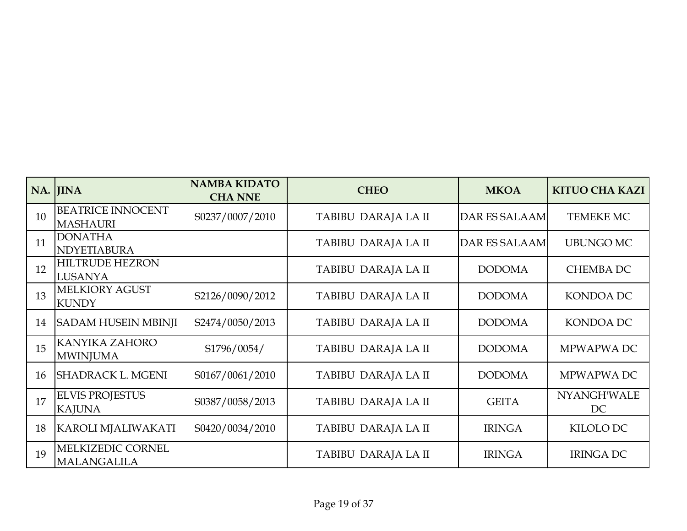|    | NA. JINA                                    | <b>NAMBA KIDATO</b><br><b>CHA NNE</b> | <b>CHEO</b>         | <b>MKOA</b>          | <b>KITUO CHA KAZI</b> |
|----|---------------------------------------------|---------------------------------------|---------------------|----------------------|-----------------------|
| 10 | <b>BEATRICE INNOCENT</b><br><b>MASHAURI</b> | S0237/0007/2010                       | TABIBU DARAJA LA II | <b>DAR ES SALAAM</b> | TEMEKE MC             |
| 11 | <b>DONATHA</b><br>NDYETIABURA               |                                       | TABIBU DARAJA LA II | <b>DAR ES SALAAM</b> | <b>UBUNGO MC</b>      |
| 12 | <b>HILTRUDE HEZRON</b><br><b>LUSANYA</b>    |                                       | TABIBU DARAJA LA II | <b>DODOMA</b>        | <b>CHEMBA DC</b>      |
| 13 | <b>MELKIORY AGUST</b><br><b>KUNDY</b>       | S2126/0090/2012                       | TABIBU DARAJA LA II | <b>DODOMA</b>        | <b>KONDOA DC</b>      |
| 14 | <b>SADAM HUSEIN MBINJI</b>                  | S2474/0050/2013                       | TABIBU DARAJA LA II | <b>DODOMA</b>        | KONDOA DC             |
| 15 | <b>KANYIKA ZAHORO</b><br><b>MWINJUMA</b>    | S1796/0054/                           | TABIBU DARAJA LA II | <b>DODOMA</b>        | MPWAPWA DC            |
| 16 | <b>SHADRACK L. MGENI</b>                    | S0167/0061/2010                       | TABIBU DARAJA LA II | <b>DODOMA</b>        | MPWAPWA DC            |
| 17 | <b>ELVIS PROJESTUS</b><br><b>KAJUNA</b>     | S0387/0058/2013                       | TABIBU DARAJA LA II | <b>GEITA</b>         | NYANGH'WALE<br>DC     |
| 18 | KAROLI MJALIWAKATI                          | S0420/0034/2010                       | TABIBU DARAJA LA II | <b>IRINGA</b>        | KILOLO DC             |
| 19 | MELKIZEDIC CORNEL<br><b>MALANGALILA</b>     |                                       | TABIBU DARAJA LA II | <b>IRINGA</b>        | <b>IRINGA DC</b>      |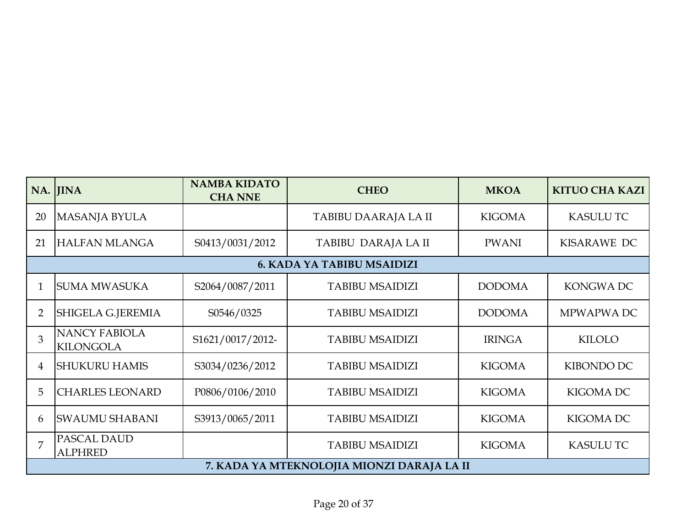|    | NA. JINA                                 | <b>NAMBA KIDATO</b><br><b>CHA NNE</b> | <b>CHEO</b>                                | <b>MKOA</b>   | <b>KITUO CHA KAZI</b> |
|----|------------------------------------------|---------------------------------------|--------------------------------------------|---------------|-----------------------|
| 20 | <b>MASANJA BYULA</b>                     |                                       | TABIBU DAARAJA LA II                       | <b>KIGOMA</b> | <b>KASULU TC</b>      |
| 21 | <b>HALFAN MLANGA</b>                     | S0413/0031/2012                       | TABIBU DARAJA LA II                        | <b>PWANI</b>  | KISARAWE DC           |
|    |                                          |                                       | <b>6. KADA YA TABIBU MSAIDIZI</b>          |               |                       |
|    | <b>SUMA MWASUKA</b>                      | S2064/0087/2011                       | <b>TABIBU MSAIDIZI</b>                     | <b>DODOMA</b> | <b>KONGWADC</b>       |
| 2  | <b>SHIGELA G.JEREMIA</b>                 | S0546/0325                            | <b>TABIBU MSAIDIZI</b>                     | <b>DODOMA</b> | MPWAPWA DC            |
| 3  | <b>NANCY FABIOLA</b><br><b>KILONGOLA</b> | S1621/0017/2012-                      | <b>TABIBU MSAIDIZI</b>                     | <b>IRINGA</b> | KILOLO                |
| 4  | <b>I</b> SHUKURU HAMIS                   | S3034/0236/2012                       | <b>TABIBU MSAIDIZI</b>                     | <b>KIGOMA</b> | KIBONDO DC            |
| 5  | <b>CHARLES LEONARD</b>                   | P0806/0106/2010                       | <b>TABIBU MSAIDIZI</b>                     | <b>KIGOMA</b> | <b>KIGOMA DC</b>      |
| 6  | <b>SWAUMU SHABANI</b>                    | S3913/0065/2011                       | <b>TABIBU MSAIDIZI</b>                     | <b>KIGOMA</b> | <b>KIGOMA DC</b>      |
| 7  | PASCAL DAUD<br><b>ALPHRED</b>            |                                       | <b>TABIBU MSAIDIZI</b>                     | <b>KIGOMA</b> | <b>KASULU TC</b>      |
|    |                                          |                                       | 7. KADA YA MTEKNOLOJIA MIONZI DARAJA LA II |               |                       |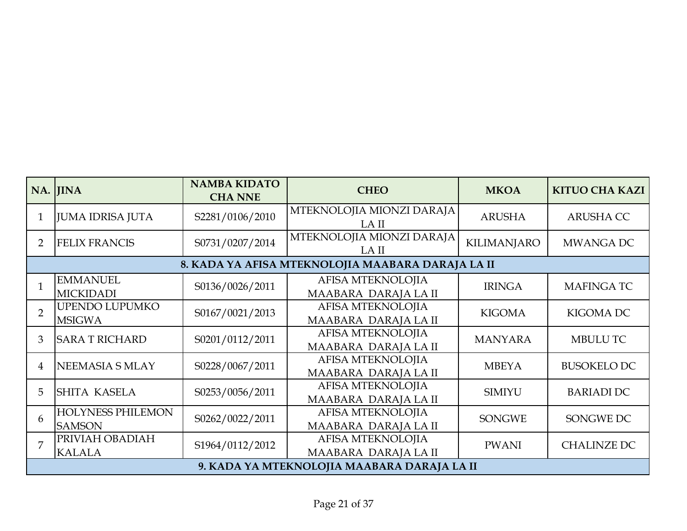|                | NA. JINA                                  | <b>NAMBA KIDATO</b><br><b>CHA NNE</b> | <b>CHEO</b>                                       | <b>MKOA</b>        | <b>KITUO CHA KAZI</b> |
|----------------|-------------------------------------------|---------------------------------------|---------------------------------------------------|--------------------|-----------------------|
| $\mathbf{1}$   | <b>JUMA IDRISA JUTA</b>                   | S2281/0106/2010                       | MTEKNOLOJIA MIONZI DARAJA<br>LA II                | <b>ARUSHA</b>      | <b>ARUSHA CC</b>      |
| $\overline{2}$ | <b>FELIX FRANCIS</b>                      | S0731/0207/2014                       | MTEKNOLOJIA MIONZI DARAJA<br>LA II                | <b>KILIMANJARO</b> | MWANGA DC             |
|                |                                           |                                       | 8. KADA YA AFISA MTEKNOLOJIA MAABARA DARAJA LA II |                    |                       |
|                | <b>EMMANUEL</b><br><b>MICKIDADI</b>       | S0136/0026/2011                       | <b>AFISA MTEKNOLOJIA</b><br>MAABARA DARAJA LA II  | <b>IRINGA</b>      | <b>MAFINGATC</b>      |
| $\overline{2}$ | <b>UPENDO LUPUMKO</b><br><b>MSIGWA</b>    | S0167/0021/2013                       | AFISA MTEKNOLOJIA<br>MAABARA DARAJA LA II         | <b>KIGOMA</b>      | KIGOMA DC             |
| 3              | <b>SARA T RICHARD</b>                     | S0201/0112/2011                       | AFISA MTEKNOLOJIA<br>MAABARA DARAJA LA II         | <b>MANYARA</b>     | <b>MBULU TC</b>       |
| 4              | NEEMASIA S MLAY                           | S0228/0067/2011                       | AFISA MTEKNOLOJIA<br>MAABARA DARAJA LA II         | <b>MBEYA</b>       | <b>BUSOKELO DC</b>    |
| 5              | <b>SHITA KASELA</b>                       | S0253/0056/2011                       | AFISA MTEKNOLOJIA<br>MAABARA DARAJA LA II         | <b>SIMIYU</b>      | <b>BARIADI DC</b>     |
| 6              | <b>HOLYNESS PHILEMON</b><br><b>SAMSON</b> | S0262/0022/2011                       | AFISA MTEKNOLOJIA<br>MAABARA DARAJA LA II         | <b>SONGWE</b>      | SONGWE DC             |
| 7              | PRIVIAH OBADIAH<br><b>KALALA</b>          | S1964/0112/2012                       | AFISA MTEKNOLOJIA<br>MAABARA DARAJA LA II         | <b>PWANI</b>       | <b>CHALINZE DC</b>    |
|                |                                           |                                       | 9. KADA YA MTEKNOLOJIA MAABARA DARAJA LA II       |                    |                       |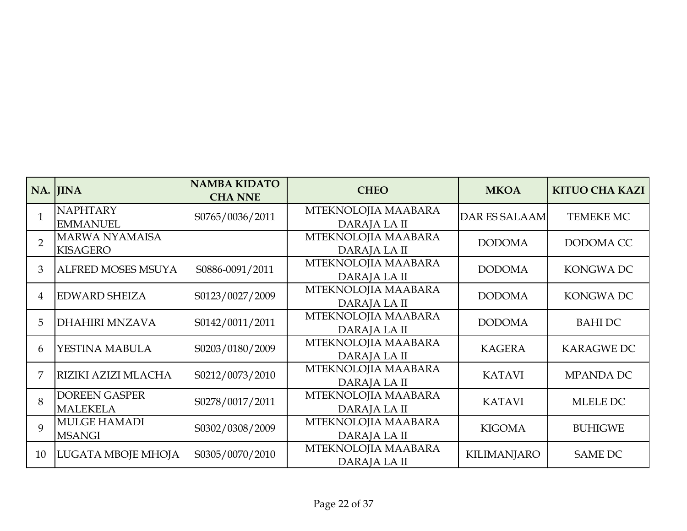|                | NA. JINA                                 | <b>NAMBA KIDATO</b><br><b>CHA NNE</b> | <b>CHEO</b>                         | <b>MKOA</b>          | <b>KITUO CHA KAZI</b> |
|----------------|------------------------------------------|---------------------------------------|-------------------------------------|----------------------|-----------------------|
|                | <b>NAPHTARY</b><br><b>EMMANUEL</b>       | S0765/0036/2011                       | MTEKNOLOJIA MAABARA<br>DARAJA LA II | <b>DAR ES SALAAM</b> | TEMEKE MC             |
| $\overline{2}$ | <b>MARWA NYAMAISA</b><br><b>KISAGERO</b> |                                       | MTEKNOLOJIA MAABARA<br>DARAJA LA II | <b>DODOMA</b>        | DODOMA CC             |
| 3              | <b>ALFRED MOSES MSUYA</b>                | S0886-0091/2011                       | MTEKNOLOJIA MAABARA<br>DARAJA LA II | <b>DODOMA</b>        | KONGWA DC             |
| 4              | <b>EDWARD SHEIZA</b>                     | S0123/0027/2009                       | MTEKNOLOJIA MAABARA<br>DARAJA LA II | <b>DODOMA</b>        | <b>KONGWADC</b>       |
| 5              | <b>DHAHIRI MNZAVA</b>                    | S0142/0011/2011                       | MTEKNOLOJIA MAABARA<br>DARAJA LA II | <b>DODOMA</b>        | <b>BAHIDC</b>         |
| 6              | YESTINA MABULA                           | S0203/0180/2009                       | MTEKNOLOJIA MAABARA<br>DARAJA LA II | <b>KAGERA</b>        | <b>KARAGWE DC</b>     |
|                | RIZIKI AZIZI MLACHA                      | S0212/0073/2010                       | MTEKNOLOJIA MAABARA<br>DARAJA LA II | <b>KATAVI</b>        | <b>MPANDA DC</b>      |
| 8              | <b>DOREEN GASPER</b><br><b>MALEKELA</b>  | S0278/0017/2011                       | MTEKNOLOJIA MAABARA<br>DARAJA LA II | <b>KATAVI</b>        | MLELE DC              |
| 9              | <b>MULGE HAMADI</b><br><b>MSANGI</b>     | S0302/0308/2009                       | MTEKNOLOJIA MAABARA<br>DARAJA LA II | <b>KIGOMA</b>        | <b>BUHIGWE</b>        |
| 10             | LUGATA MBOJE MHOJA                       | S0305/0070/2010                       | MTEKNOLOJIA MAABARA<br>DARAJA LA II | <b>KILIMANJARO</b>   | <b>SAME DC</b>        |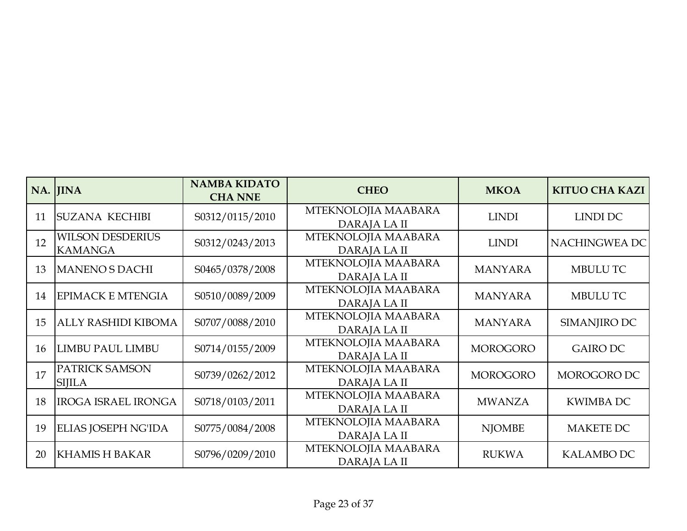|    | NA. JINA                                  | <b>NAMBA KIDATO</b><br><b>CHA NNE</b> | <b>CHEO</b>                         | <b>MKOA</b>     | <b>KITUO CHA KAZI</b> |
|----|-------------------------------------------|---------------------------------------|-------------------------------------|-----------------|-----------------------|
| 11 | <b>SUZANA KECHIBI</b>                     | S0312/0115/2010                       | MTEKNOLOJIA MAABARA<br>DARAJA LA II | <b>LINDI</b>    | LINDI DC              |
| 12 | <b>WILSON DESDERIUS</b><br><b>KAMANGA</b> | S0312/0243/2013                       | MTEKNOLOJIA MAABARA<br>DARAJA LA II | <b>LINDI</b>    | NACHINGWEA DC         |
| 13 | <b>MANENO S DACHI</b>                     | S0465/0378/2008                       | MTEKNOLOJIA MAABARA<br>DARAJA LA II | <b>MANYARA</b>  | <b>MBULUTC</b>        |
| 14 | <b>EPIMACK E MTENGIA</b>                  | S0510/0089/2009                       | MTEKNOLOJIA MAABARA<br>DARAJA LA II | <b>MANYARA</b>  | <b>MBULUTC</b>        |
| 15 | <b>ALLY RASHIDI KIBOMA</b>                | S0707/0088/2010                       | MTEKNOLOJIA MAABARA<br>DARAJA LA II | <b>MANYARA</b>  | SIMANJIRO DC          |
| 16 | <b>LIMBU PAUL LIMBU</b>                   | S0714/0155/2009                       | MTEKNOLOJIA MAABARA<br>DARAJA LA II | <b>MOROGORO</b> | <b>GAIRO DC</b>       |
| 17 | PATRICK SAMSON<br><b>SIJILA</b>           | S0739/0262/2012                       | MTEKNOLOJIA MAABARA<br>DARAJA LA II | <b>MOROGORO</b> | MOROGORO DC           |
| 18 | <b>IROGA ISRAEL IRONGA</b>                | S0718/0103/2011                       | MTEKNOLOJIA MAABARA<br>DARAJA LA II | <b>MWANZA</b>   | <b>KWIMBA DC</b>      |
| 19 | ELIAS JOSEPH NG'IDA                       | S0775/0084/2008                       | MTEKNOLOJIA MAABARA<br>DARAJA LA II | <b>NJOMBE</b>   | <b>MAKETE DC</b>      |
| 20 | <b>KHAMISH BAKAR</b>                      | S0796/0209/2010                       | MTEKNOLOJIA MAABARA<br>DARAJA LA II | <b>RUKWA</b>    | <b>KALAMBO DC</b>     |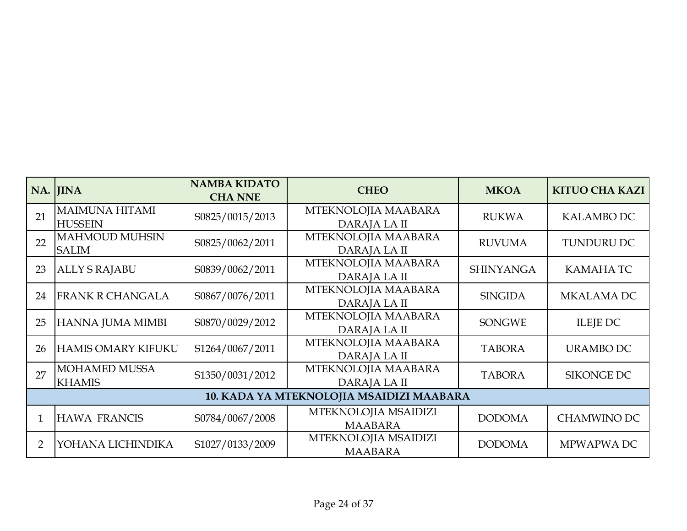|    | NA. JINA                                | <b>NAMBA KIDATO</b><br><b>CHA NNE</b> | <b>CHEO</b>                              | <b>MKOA</b>      | <b>KITUO CHA KAZI</b> |
|----|-----------------------------------------|---------------------------------------|------------------------------------------|------------------|-----------------------|
| 21 | <b>MAIMUNA HITAMI</b><br><b>HUSSEIN</b> | S0825/0015/2013                       | MTEKNOLOJIA MAABARA<br>DARAJA LA II      | <b>RUKWA</b>     | <b>KALAMBO DC</b>     |
| 22 | <b>MAHMOUD MUHSIN</b><br><b>SALIM</b>   | S0825/0062/2011                       | MTEKNOLOJIA MAABARA<br>DARAJA LA II      | <b>RUVUMA</b>    | <b>TUNDURU DC</b>     |
| 23 | <b>ALLY S RAJABU</b>                    | S0839/0062/2011                       | MTEKNOLOJIA MAABARA<br>DARAJA LA II      | <b>SHINYANGA</b> | KAMAHA TC             |
| 24 | <b>FRANK R CHANGALA</b>                 | S0867/0076/2011                       | MTEKNOLOJIA MAABARA<br>DARAJA LA II      | <b>SINGIDA</b>   | <b>MKALAMA DC</b>     |
| 25 | HANNA JUMA MIMBI                        | S0870/0029/2012                       | MTEKNOLOJIA MAABARA<br>DARAJA LA II      | <b>SONGWE</b>    | <b>ILEJE DC</b>       |
| 26 | <b>HAMIS OMARY KIFUKU</b>               | S1264/0067/2011                       | MTEKNOLOJIA MAABARA<br>DARAJA LA II      | <b>TABORA</b>    | <b>URAMBO DC</b>      |
| 27 | <b>MOHAMED MUSSA</b><br><b>KHAMIS</b>   | S1350/0031/2012                       | MTEKNOLOJIA MAABARA<br>DARAJA LA II      | <b>TABORA</b>    | SIKONGE DC            |
|    |                                         |                                       | 10. KADA YA MTEKNOLOJIA MSAIDIZI MAABARA |                  |                       |
|    | <b>HAWA FRANCIS</b>                     | S0784/0067/2008                       | MTEKNOLOJIA MSAIDIZI<br><b>MAABARA</b>   | <b>DODOMA</b>    | <b>CHAMWINO DC</b>    |
| 2  | YOHANA LICHINDIKA                       | S1027/0133/2009                       | MTEKNOLOJIA MSAIDIZI<br><b>MAABARA</b>   | <b>DODOMA</b>    | MPWAPWA DC            |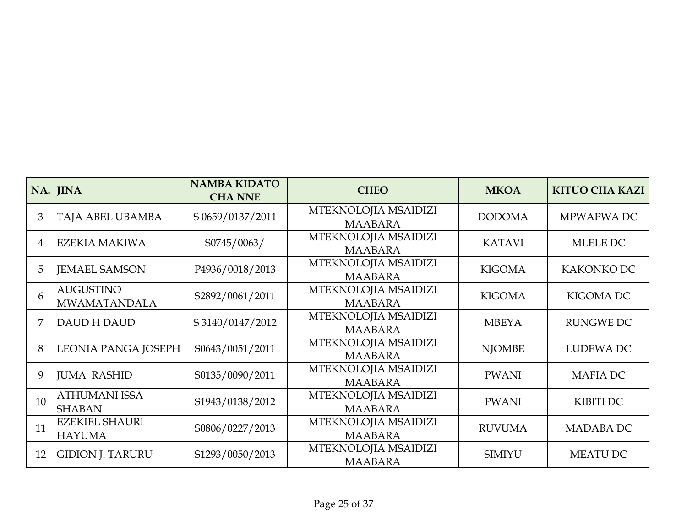|    | NA. JINA                                | <b>NAMBA KIDATO</b><br><b>CHA NNE</b> | <b>CHEO</b>                            | <b>MKOA</b>   | <b>KITUO CHA KAZI</b> |
|----|-----------------------------------------|---------------------------------------|----------------------------------------|---------------|-----------------------|
| 3  | <b>TAJA ABEL UBAMBA</b>                 | S 0659/0137/2011                      | MTEKNOLOJIA MSAIDIZI<br><b>MAABARA</b> | <b>DODOMA</b> | MPWAPWA DC            |
| 4  | <b>EZEKIA MAKIWA</b>                    | S0745/0063/                           | MTEKNOLOJIA MSAIDIZI<br><b>MAABARA</b> | <b>KATAVI</b> | MLELE DC              |
| 5  | <b>IEMAEL SAMSON</b>                    | P4936/0018/2013                       | MTEKNOLOJIA MSAIDIZI<br><b>MAABARA</b> | <b>KIGOMA</b> | KAKONKO DC            |
| 6  | <b>AUGUSTINO</b><br><b>MWAMATANDALA</b> | S2892/0061/2011                       | MTEKNOLOJIA MSAIDIZI<br><b>MAABARA</b> | <b>KIGOMA</b> | <b>KIGOMA DC</b>      |
| 7  | <b>DAUD H DAUD</b>                      | S 3140/0147/2012                      | MTEKNOLOJIA MSAIDIZI<br><b>MAABARA</b> | <b>MBEYA</b>  | <b>RUNGWE DC</b>      |
| 8  | LEONIA PANGA JOSEPH                     | S0643/0051/2011                       | MTEKNOLOJIA MSAIDIZI<br><b>MAABARA</b> | <b>NJOMBE</b> | <b>LUDEWA DC</b>      |
| 9  | <b>JUMA RASHID</b>                      | S0135/0090/2011                       | MTEKNOLOJIA MSAIDIZI<br><b>MAABARA</b> | <b>PWANI</b>  | <b>MAFIA DC</b>       |
| 10 | <b>ATHUMANI ISSA</b><br><b>SHABAN</b>   | S1943/0138/2012                       | MTEKNOLOJIA MSAIDIZI<br><b>MAABARA</b> | <b>PWANI</b>  | KIBITI DC             |
| 11 | <b>EZEKIEL SHAURI</b><br><b>HAYUMA</b>  | S0806/0227/2013                       | MTEKNOLOJIA MSAIDIZI<br><b>MAABARA</b> | <b>RUVUMA</b> | <b>MADABA DC</b>      |
| 12 | <b>GIDION J. TARURU</b>                 | S1293/0050/2013                       | MTEKNOLOJIA MSAIDIZI<br><b>MAABARA</b> | <b>SIMIYU</b> | <b>MEATU DC</b>       |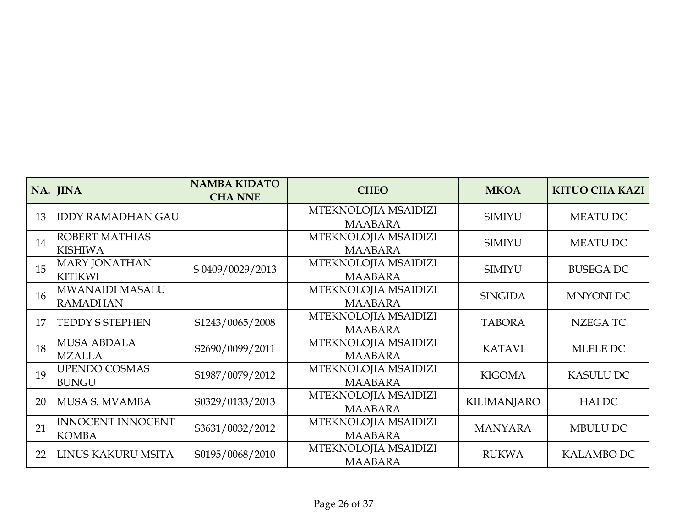|    | NA. JINA                                  | <b>NAMBA KIDATO</b><br><b>CHA NNE</b> | <b>CHEO</b>                            | <b>MKOA</b>        | <b>KITUO CHA KAZI</b> |
|----|-------------------------------------------|---------------------------------------|----------------------------------------|--------------------|-----------------------|
| 13 | <b>IDDY RAMADHAN GAU</b>                  |                                       | MTEKNOLOJIA MSAIDIZI<br><b>MAABARA</b> | <b>SIMIYU</b>      | <b>MEATU DC</b>       |
| 14 | <b>ROBERT MATHIAS</b><br><b>KISHIWA</b>   |                                       | MTEKNOLOJIA MSAIDIZI<br><b>MAABARA</b> | <b>SIMIYU</b>      | MEATU DC              |
| 15 | <b>MARY JONATHAN</b><br><b>KITIKWI</b>    | S 0409/0029/2013                      | MTEKNOLOJIA MSAIDIZI<br><b>MAABARA</b> | <b>SIMIYU</b>      | <b>BUSEGA DC</b>      |
| 16 | <b>MWANAIDI MASALU</b><br><b>RAMADHAN</b> |                                       | MTEKNOLOJIA MSAIDIZI<br><b>MAABARA</b> | <b>SINGIDA</b>     | <b>MNYONI DC</b>      |
| 17 | <b>TEDDY S STEPHEN</b>                    | S1243/0065/2008                       | MTEKNOLOJIA MSAIDIZI<br><b>MAABARA</b> | <b>TABORA</b>      | <b>NZEGATC</b>        |
| 18 | <b>MUSA ABDALA</b><br><b>MZALLA</b>       | S2690/0099/2011                       | MTEKNOLOJIA MSAIDIZI<br><b>MAABARA</b> | <b>KATAVI</b>      | MLELE DC              |
| 19 | <b>UPENDO COSMAS</b><br><b>BUNGU</b>      | S1987/0079/2012                       | MTEKNOLOJIA MSAIDIZI<br><b>MAABARA</b> | <b>KIGOMA</b>      | <b>KASULU DC</b>      |
| 20 | MUSA S. MVAMBA                            | S0329/0133/2013                       | MTEKNOLOJIA MSAIDIZI<br><b>MAABARA</b> | <b>KILIMANJARO</b> | <b>HAIDC</b>          |
| 21 | <b>INNOCENT INNOCENT</b><br><b>KOMBA</b>  | S3631/0032/2012                       | MTEKNOLOJIA MSAIDIZI<br><b>MAABARA</b> | <b>MANYARA</b>     | MBULU DC              |
| 22 | LINUS KAKURU MSITA                        | S0195/0068/2010                       | MTEKNOLOJIA MSAIDIZI<br><b>MAABARA</b> | <b>RUKWA</b>       | <b>KALAMBO DC</b>     |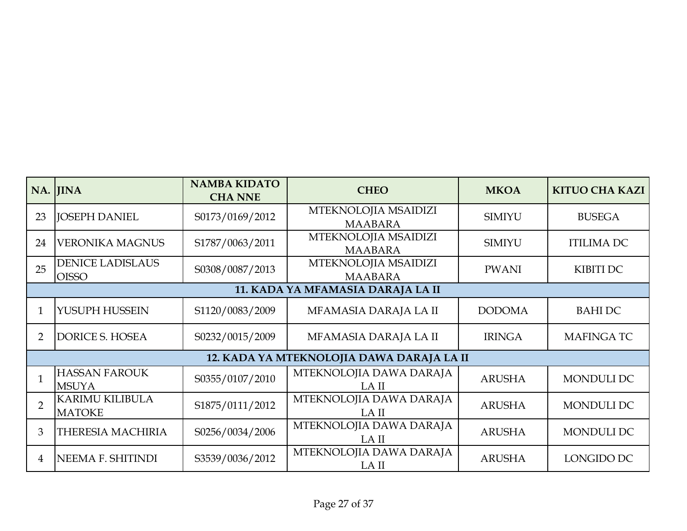|                | NA. JINA                                | <b>NAMBA KIDATO</b><br><b>CHA NNE</b> | <b>CHEO</b>                               | <b>MKOA</b>   | <b>KITUO CHA KAZI</b> |
|----------------|-----------------------------------------|---------------------------------------|-------------------------------------------|---------------|-----------------------|
| 23             | <b>JOSEPH DANIEL</b>                    | S0173/0169/2012                       | MTEKNOLOJIA MSAIDIZI<br><b>MAABARA</b>    | <b>SIMIYU</b> | <b>BUSEGA</b>         |
| 24             | <b>VERONIKA MAGNUS</b>                  | S1787/0063/2011                       | MTEKNOLOJIA MSAIDIZI<br><b>MAABARA</b>    | <b>SIMIYU</b> | <b>ITILIMA DC</b>     |
| 25             | <b>DENICE LADISLAUS</b><br><b>OISSO</b> | S0308/0087/2013                       | MTEKNOLOJIA MSAIDIZI<br><b>MAABARA</b>    | <b>PWANI</b>  | KIBITI DC             |
|                |                                         |                                       | 11. KADA YA MFAMASIA DARAJA LA II         |               |                       |
|                | YUSUPH HUSSEIN                          | S1120/0083/2009                       | MFAMASIA DARAJA LA II                     | <b>DODOMA</b> | <b>BAHIDC</b>         |
| $\overline{2}$ | <b>DORICE S. HOSEA</b>                  | S0232/0015/2009                       | MFAMASIA DARAJA LA II                     | <b>IRINGA</b> | <b>MAFINGATC</b>      |
|                |                                         |                                       | 12. KADA YA MTEKNOLOJIA DAWA DARAJA LA II |               |                       |
|                | <b>HASSAN FAROUK</b><br><b>MSUYA</b>    | S0355/0107/2010                       | MTEKNOLOJIA DAWA DARAJA<br>LA II          | <b>ARUSHA</b> | MONDULI DC            |
| $\overline{2}$ | <b>KARIMU KILIBULA</b><br><b>MATOKE</b> | S1875/0111/2012                       | MTEKNOLOJIA DAWA DARAJA<br>LA II          | <b>ARUSHA</b> | MONDULI DC            |
| 3              | THERESIA MACHIRIA                       | S0256/0034/2006                       | MTEKNOLOJIA DAWA DARAJA<br>LA II          | <b>ARUSHA</b> | <b>MONDULI DC</b>     |
| 4              | NEEMA F. SHITINDI                       | S3539/0036/2012                       | MTEKNOLOJIA DAWA DARAJA<br>LA II          | <b>ARUSHA</b> | LONGIDO DC            |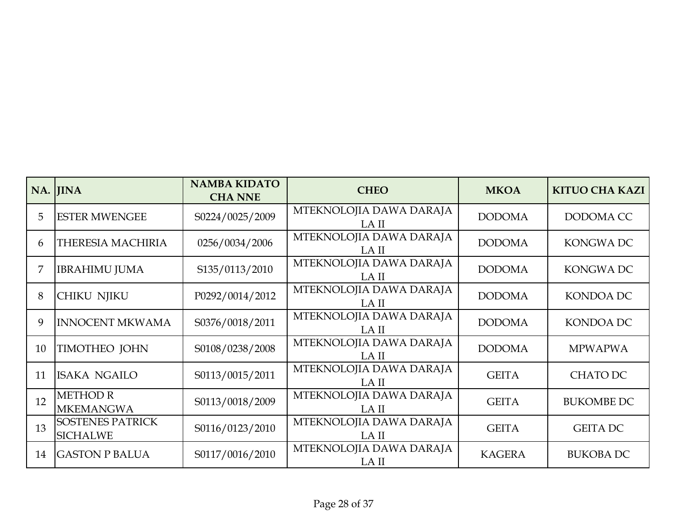|    | NA. JINA                                   | <b>NAMBA KIDATO</b><br><b>CHA NNE</b> | <b>CHEO</b>                      | <b>MKOA</b>   | <b>KITUO CHA KAZI</b> |
|----|--------------------------------------------|---------------------------------------|----------------------------------|---------------|-----------------------|
| 5  | <b>ESTER MWENGEE</b>                       | S0224/0025/2009                       | MTEKNOLOJIA DAWA DARAJA<br>LA II | <b>DODOMA</b> | DODOMA CC             |
| 6  | <b>THERESIA MACHIRIA</b>                   | 0256/0034/2006                        | MTEKNOLOJIA DAWA DARAJA<br>LA II | <b>DODOMA</b> | KONGWA DC             |
| 7  | <b>IBRAHIMU JUMA</b>                       | S135/0113/2010                        | MTEKNOLOJIA DAWA DARAJA<br>LA II | <b>DODOMA</b> | KONGWA DC             |
| 8  | <b>CHIKU NJIKU</b>                         | P0292/0014/2012                       | MTEKNOLOJIA DAWA DARAJA<br>LA II | <b>DODOMA</b> | KONDOA DC             |
| 9  | <b>INNOCENT MKWAMA</b>                     | S0376/0018/2011                       | MTEKNOLOJIA DAWA DARAJA<br>LA II | <b>DODOMA</b> | <b>KONDOA DC</b>      |
| 10 | <b>TIMOTHEO JOHN</b>                       | S0108/0238/2008                       | MTEKNOLOJIA DAWA DARAJA<br>LA II | <b>DODOMA</b> | <b>MPWAPWA</b>        |
| 11 | <b>ISAKA NGAILO</b>                        | S0113/0015/2011                       | MTEKNOLOJIA DAWA DARAJA<br>LA II | <b>GEITA</b>  | CHATO DC              |
| 12 | <b>METHOD R</b><br><b>MKEMANGWA</b>        | S0113/0018/2009                       | MTEKNOLOJIA DAWA DARAJA<br>LA II | <b>GEITA</b>  | <b>BUKOMBE DC</b>     |
| 13 | <b>SOSTENES PATRICK</b><br><b>SICHALWE</b> | S0116/0123/2010                       | MTEKNOLOJIA DAWA DARAJA<br>LA II | <b>GEITA</b>  | <b>GEITA DC</b>       |
| 14 | <b>GASTON P BALUA</b>                      | S0117/0016/2010                       | MTEKNOLOJIA DAWA DARAJA<br>LA II | <b>KAGERA</b> | <b>BUKOBA DC</b>      |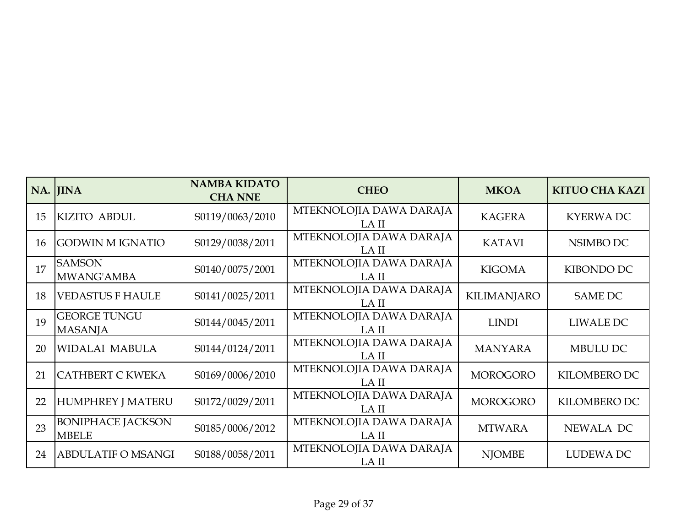|    | NA. JINA                                 | <b>NAMBA KIDATO</b><br><b>CHA NNE</b> | <b>CHEO</b>                      | <b>MKOA</b>        | <b>KITUO CHA KAZI</b> |
|----|------------------------------------------|---------------------------------------|----------------------------------|--------------------|-----------------------|
| 15 | <b>KIZITO ABDUL</b>                      | S0119/0063/2010                       | MTEKNOLOJIA DAWA DARAJA<br>LA II | <b>KAGERA</b>      | <b>KYERWADC</b>       |
| 16 | <b>GODWIN M IGNATIO</b>                  | S0129/0038/2011                       | MTEKNOLOJIA DAWA DARAJA<br>LA II | <b>KATAVI</b>      | NSIMBO DC             |
| 17 | <b>SAMSON</b><br>MWANG'AMBA              | S0140/0075/2001                       | MTEKNOLOJIA DAWA DARAJA<br>LA II | <b>KIGOMA</b>      | KIBONDO DC            |
| 18 | <b>VEDASTUS F HAULE</b>                  | S0141/0025/2011                       | MTEKNOLOJIA DAWA DARAJA<br>LA II | <b>KILIMANJARO</b> | <b>SAME DC</b>        |
| 19 | <b>GEORGE TUNGU</b><br><b>MASANJA</b>    | S0144/0045/2011                       | MTEKNOLOJIA DAWA DARAJA<br>LA II | <b>LINDI</b>       | LIWALE DC             |
| 20 | <b>WIDALAI MABULA</b>                    | S0144/0124/2011                       | MTEKNOLOJIA DAWA DARAJA<br>LA II | <b>MANYARA</b>     | <b>MBULU DC</b>       |
| 21 | <b>CATHBERT C KWEKA</b>                  | S0169/0006/2010                       | MTEKNOLOJIA DAWA DARAJA<br>LA II | <b>MOROGORO</b>    | KILOMBERO DC          |
| 22 | <b>HUMPHREY J MATERU</b>                 | S0172/0029/2011                       | MTEKNOLOJIA DAWA DARAJA<br>LA II | <b>MOROGORO</b>    | KILOMBERO DC          |
| 23 | <b>BONIPHACE JACKSON</b><br><b>MBELE</b> | S0185/0006/2012                       | MTEKNOLOJIA DAWA DARAJA<br>LA II | <b>MTWARA</b>      | NEWALA DC             |
| 24 | <b>ABDULATIF O MSANGI</b>                | S0188/0058/2011                       | MTEKNOLOJIA DAWA DARAJA<br>LA II | <b>NJOMBE</b>      | LUDEWA DC             |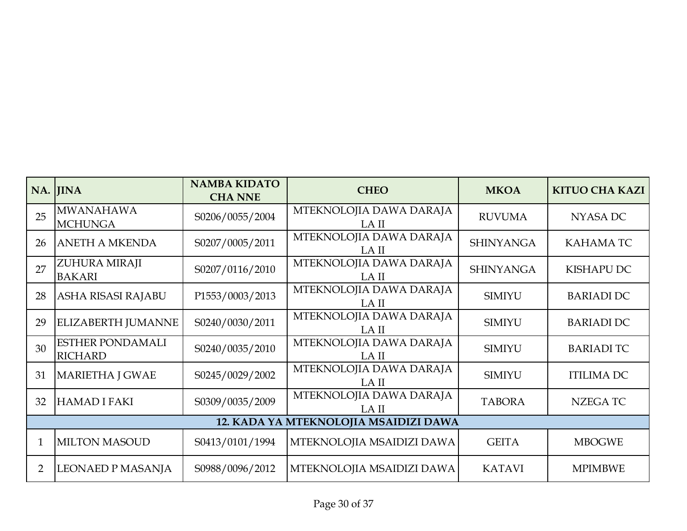|                | NA. JINA                                  | <b>NAMBA KIDATO</b><br><b>CHA NNE</b> | <b>CHEO</b>                      | <b>MKOA</b>      | <b>KITUO CHA KAZI</b> |  |  |  |
|----------------|-------------------------------------------|---------------------------------------|----------------------------------|------------------|-----------------------|--|--|--|
| 25             | <b>MWANAHAWA</b><br><b>MCHUNGA</b>        | S0206/0055/2004                       | MTEKNOLOJIA DAWA DARAJA<br>LA II | <b>RUVUMA</b>    | NYASA DC              |  |  |  |
| 26             | <b>ANETH A MKENDA</b>                     | S0207/0005/2011                       | MTEKNOLOJIA DAWA DARAJA<br>LA II | <b>SHINYANGA</b> | <b>KAHAMATC</b>       |  |  |  |
| 27             | ZUHURA MIRAJI<br><b>BAKARI</b>            | S0207/0116/2010                       | MTEKNOLOJIA DAWA DARAJA<br>LA II | <b>SHINYANGA</b> | KISHAPU DC            |  |  |  |
| 28             | ASHA RISASI RAJABU                        | P1553/0003/2013                       | MTEKNOLOJIA DAWA DARAJA<br>LA II | <b>SIMIYU</b>    | <b>BARIADI DC</b>     |  |  |  |
| 29             | ELIZABERTH JUMANNE                        | S0240/0030/2011                       | MTEKNOLOJIA DAWA DARAJA<br>LA II | <b>SIMIYU</b>    | <b>BARIADI DC</b>     |  |  |  |
| 30             | <b>ESTHER PONDAMALI</b><br><b>RICHARD</b> | S0240/0035/2010                       | MTEKNOLOJIA DAWA DARAJA<br>LA II | <b>SIMIYU</b>    | <b>BARIADI TC</b>     |  |  |  |
| 31             | <b>MARIETHA J GWAE</b>                    | S0245/0029/2002                       | MTEKNOLOJIA DAWA DARAJA<br>LA II | <b>SIMIYU</b>    | <b>ITILIMA DC</b>     |  |  |  |
| 32             | <b>HAMAD I FAKI</b>                       | S0309/0035/2009                       | MTEKNOLOJIA DAWA DARAJA<br>LA II | <b>TABORA</b>    | NZEGA TC              |  |  |  |
|                | 12. KADA YA MTEKNOLOJIA MSAIDIZI DAWA     |                                       |                                  |                  |                       |  |  |  |
| 1              | <b>MILTON MASOUD</b>                      | S0413/0101/1994                       | MTEKNOLOJIA MSAIDIZI DAWA        | <b>GEITA</b>     | <b>MBOGWE</b>         |  |  |  |
| $\overline{2}$ | LEONAED P MASANJA                         | S0988/0096/2012                       | MTEKNOLOJIA MSAIDIZI DAWA        | <b>KATAVI</b>    | <b>MPIMBWE</b>        |  |  |  |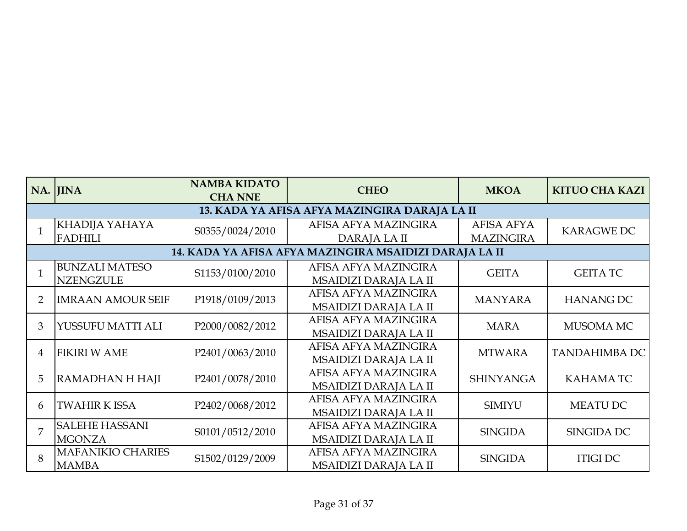|                | NA. JINA                                  | <b>NAMBA KIDATO</b><br><b>CHA NNE</b> | <b>CHEO</b>                                            | <b>MKOA</b>                           | <b>KITUO CHA KAZI</b> |
|----------------|-------------------------------------------|---------------------------------------|--------------------------------------------------------|---------------------------------------|-----------------------|
|                |                                           |                                       | 13. KADA YA AFISA AFYA MAZINGIRA DARAJA LA II          |                                       |                       |
|                | KHADIJA YAHAYA<br><b>FADHILI</b>          | S0355/0024/2010                       | AFISA AFYA MAZINGIRA<br>DARAJA LA II                   | <b>AFISA AFYA</b><br><b>MAZINGIRA</b> | <b>KARAGWE DC</b>     |
|                |                                           |                                       | 14. KADA YA AFISA AFYA MAZINGIRA MSAIDIZI DARAJA LA II |                                       |                       |
|                | <b>BUNZALI MATESO</b><br><b>NZENGZULE</b> | S1153/0100/2010                       | AFISA AFYA MAZINGIRA<br>MSAIDIZI DARAJA LA II          | <b>GEITA</b>                          | <b>GEITA TC</b>       |
| $\overline{2}$ | <b>IMRAAN AMOUR SEIF</b>                  | P1918/0109/2013                       | AFISA AFYA MAZINGIRA<br>MSAIDIZI DARAJA LA II          | <b>MANYARA</b>                        | <b>HANANG DC</b>      |
| 3              | YUSSUFU MATTI ALI                         | P2000/0082/2012                       | AFISA AFYA MAZINGIRA<br>MSAIDIZI DARAJA LA II          | <b>MARA</b>                           | MUSOMA MC             |
| $\overline{4}$ | <b>FIKIRI W AME</b>                       | P2401/0063/2010                       | AFISA AFYA MAZINGIRA<br>MSAIDIZI DARAJA LA II          | <b>MTWARA</b>                         | <b>TANDAHIMBA DC</b>  |
| 5              | RAMADHAN H HAJI                           | P2401/0078/2010                       | AFISA AFYA MAZINGIRA<br>MSAIDIZI DARAJA LA II          | <b>SHINYANGA</b>                      | <b>KAHAMATC</b>       |
| 6              | <b>TWAHIR K ISSA</b>                      | P2402/0068/2012                       | AFISA AFYA MAZINGIRA<br>MSAIDIZI DARAJA LA II          | <b>SIMIYU</b>                         | <b>MEATU DC</b>       |
|                | <b>SALEHE HASSANI</b><br><b>MGONZA</b>    | S0101/0512/2010                       | AFISA AFYA MAZINGIRA<br>MSAIDIZI DARAJA LA II          | <b>SINGIDA</b>                        | <b>SINGIDA DC</b>     |
|                | <b>MAFANIKIO CHARIES</b><br><b>MAMBA</b>  | S1502/0129/2009                       | AFISA AFYA MAZINGIRA<br>MSAIDIZI DARAJA LA II          | <b>SINGIDA</b>                        | <b>ITIGI DC</b>       |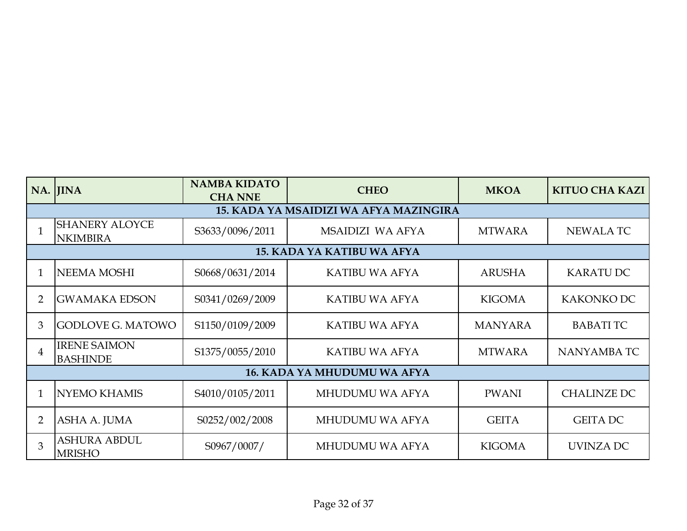|                | NA. JINA                                 | <b>NAMBA KIDATO</b><br><b>CHA NNE</b> | <b>CHEO</b>                            | <b>MKOA</b>    | <b>KITUO CHA KAZI</b> |
|----------------|------------------------------------------|---------------------------------------|----------------------------------------|----------------|-----------------------|
|                |                                          |                                       | 15. KADA YA MSAIDIZI WA AFYA MAZINGIRA |                |                       |
|                | <b>SHANERY ALOYCE</b><br><b>NKIMBIRA</b> | S3633/0096/2011                       | MSAIDIZI WA AFYA                       | <b>MTWARA</b>  | <b>NEWALATC</b>       |
|                |                                          |                                       | <b>15. KADA YA KATIBU WA AFYA</b>      |                |                       |
|                | <b>NEEMA MOSHI</b>                       | S0668/0631/2014                       | <b>KATIBU WA AFYA</b>                  | <b>ARUSHA</b>  | <b>KARATU DC</b>      |
| $\overline{2}$ | <b>GWAMAKA EDSON</b>                     | S0341/0269/2009                       | KATIBU WA AFYA                         | <b>KIGOMA</b>  | KAKONKO DC            |
| 3              | <b>GODLOVE G. MATOWO</b>                 | S1150/0109/2009                       | <b>KATIBU WA AFYA</b>                  | <b>MANYARA</b> | <b>BABATITC</b>       |
| 4              | <b>IRENE SAIMON</b><br><b>BASHINDE</b>   | S1375/0055/2010                       | <b>KATIBU WA AFYA</b>                  | <b>MTWARA</b>  | NANYAMBA TC           |
|                |                                          |                                       | <b>16. KADA YA MHUDUMU WA AFYA</b>     |                |                       |
|                | <b>NYEMO KHAMIS</b>                      | S4010/0105/2011                       | MHUDUMU WA AFYA                        | <b>PWANI</b>   | <b>CHALINZE DC</b>    |
| $\overline{2}$ | ASHA A. JUMA                             | S0252/002/2008                        | MHUDUMU WA AFYA                        | <b>GEITA</b>   | <b>GEITA DC</b>       |
| 3              | <b>ASHURA ABDUL</b><br><b>MRISHO</b>     | S0967/0007/                           | MHUDUMU WA AFYA                        | <b>KIGOMA</b>  | UVINZA DC             |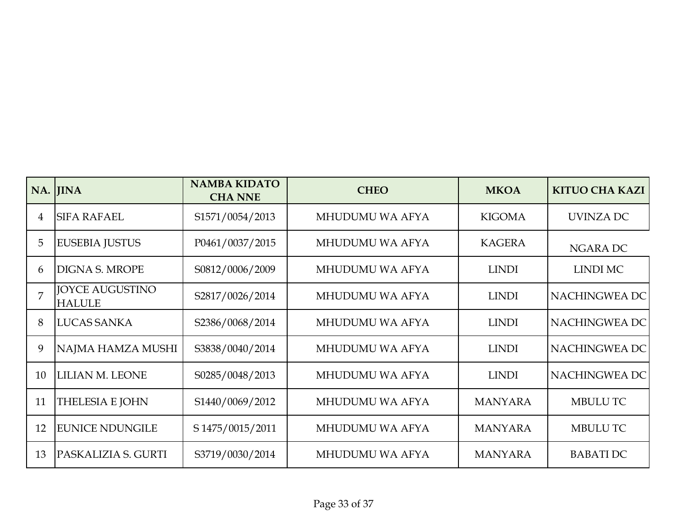|    | NA. JINA                                | <b>NAMBA KIDATO</b><br><b>CHA NNE</b> | <b>CHEO</b>     | <b>MKOA</b>    | <b>KITUO CHA KAZI</b> |
|----|-----------------------------------------|---------------------------------------|-----------------|----------------|-----------------------|
| 4  | <b>SIFA RAFAEL</b>                      | S1571/0054/2013                       | MHUDUMU WA AFYA | <b>KIGOMA</b>  | UVINZA DC             |
| 5  | <b>EUSEBIA JUSTUS</b>                   | P0461/0037/2015                       | MHUDUMU WA AFYA | <b>KAGERA</b>  | NGARA DC              |
| 6  | <b>DIGNA S. MROPE</b>                   | S0812/0006/2009                       | MHUDUMU WA AFYA | <b>LINDI</b>   | <b>LINDI MC</b>       |
| 7  | <b>JOYCE AUGUSTINO</b><br><b>HALULE</b> | S2817/0026/2014                       | MHUDUMU WA AFYA | <b>LINDI</b>   | NACHINGWEA DC         |
| 8  | <b>LUCAS SANKA</b>                      | S2386/0068/2014                       | MHUDUMU WA AFYA | <b>LINDI</b>   | NACHINGWEA DC         |
| 9  | NAJMA HAMZA MUSHI                       | S3838/0040/2014                       | MHUDUMU WA AFYA | <b>LINDI</b>   | NACHINGWEA DC         |
| 10 | LILIAN M. LEONE                         | S0285/0048/2013                       | MHUDUMU WA AFYA | <b>LINDI</b>   | NACHINGWEA DC         |
| 11 | <b>THELESIA E JOHN</b>                  | S1440/0069/2012                       | MHUDUMU WA AFYA | <b>MANYARA</b> | <b>MBULU TC</b>       |
| 12 | <b>EUNICE NDUNGILE</b>                  | S 1475/0015/2011                      | MHUDUMU WA AFYA | <b>MANYARA</b> | <b>MBULUTC</b>        |
| 13 | PASKALIZIA S. GURTI                     | S3719/0030/2014                       | MHUDUMU WA AFYA | <b>MANYARA</b> | <b>BABATIDC</b>       |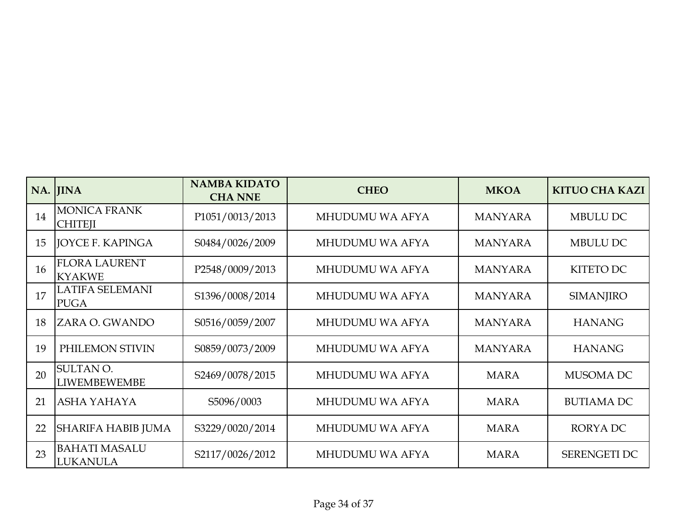|    | NA. JINA                                | <b>NAMBA KIDATO</b><br><b>CHA NNE</b> | <b>CHEO</b>     | <b>MKOA</b>    | <b>KITUO CHA KAZI</b> |
|----|-----------------------------------------|---------------------------------------|-----------------|----------------|-----------------------|
| 14 | <b>MONICA FRANK</b><br><b>CHITEJI</b>   | P1051/0013/2013                       | MHUDUMU WA AFYA | <b>MANYARA</b> | <b>MBULU DC</b>       |
| 15 | <b>JOYCE F. KAPINGA</b>                 | S0484/0026/2009                       | MHUDUMU WA AFYA | <b>MANYARA</b> | MBULU DC              |
| 16 | <b>FLORA LAURENT</b><br><b>KYAKWE</b>   | P2548/0009/2013                       | MHUDUMU WA AFYA | <b>MANYARA</b> | <b>KITETO DC</b>      |
| 17 | <b>LATIFA SELEMANI</b><br><b>PUGA</b>   | S1396/0008/2014                       | MHUDUMU WA AFYA | <b>MANYARA</b> | <b>SIMANJIRO</b>      |
| 18 | <b>ZARA O. GWANDO</b>                   | S0516/0059/2007                       | MHUDUMU WA AFYA | <b>MANYARA</b> | <b>HANANG</b>         |
| 19 | PHILEMON STIVIN                         | S0859/0073/2009                       | MHUDUMU WA AFYA | <b>MANYARA</b> | <b>HANANG</b>         |
| 20 | <b>SULTAN O.</b><br><b>LIWEMBEWEMBE</b> | S2469/0078/2015                       | MHUDUMU WA AFYA | <b>MARA</b>    | MUSOMA DC             |
| 21 | <b>ASHA YAHAYA</b>                      | S5096/0003                            | MHUDUMU WA AFYA | <b>MARA</b>    | <b>BUTIAMA DC</b>     |
| 22 | SHARIFA HABIB JUMA                      | S3229/0020/2014                       | MHUDUMU WA AFYA | <b>MARA</b>    | <b>RORYADC</b>        |
| 23 | <b>BAHATI MASALU</b><br><b>LUKANULA</b> | S2117/0026/2012                       | MHUDUMU WA AFYA | <b>MARA</b>    | <b>SERENGETI DC</b>   |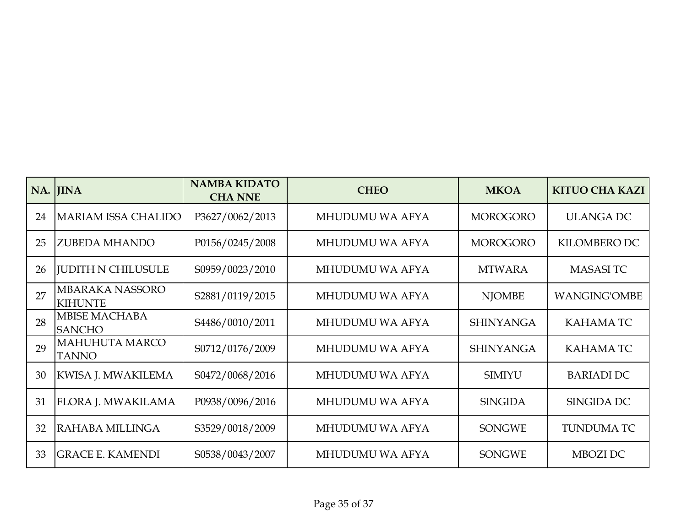|    | NA. JINA                                 | <b>NAMBA KIDATO</b><br><b>CHA NNE</b> | <b>CHEO</b>     | <b>MKOA</b>      | <b>KITUO CHA KAZI</b> |
|----|------------------------------------------|---------------------------------------|-----------------|------------------|-----------------------|
| 24 | MARIAM ISSA CHALIDO                      | P3627/0062/2013                       | MHUDUMU WA AFYA | <b>MOROGORO</b>  | <b>ULANGA DC</b>      |
| 25 | <b>ZUBEDA MHANDO</b>                     | P0156/0245/2008                       | MHUDUMU WA AFYA | <b>MOROGORO</b>  | KILOMBERO DC          |
| 26 | <b>JUDITH N CHILUSULE</b>                | S0959/0023/2010                       | MHUDUMU WA AFYA | <b>MTWARA</b>    | <b>MASASITC</b>       |
| 27 | <b>MBARAKA NASSORO</b><br><b>KIHUNTE</b> | S2881/0119/2015                       | MHUDUMU WA AFYA | <b>NJOMBE</b>    | <b>WANGING'OMBE</b>   |
| 28 | <b>MBISE MACHABA</b><br><b>SANCHO</b>    | S4486/0010/2011                       | MHUDUMU WA AFYA | <b>SHINYANGA</b> | <b>KAHAMATC</b>       |
| 29 | <b>MAHUHUTA MARCO</b><br><b>TANNO</b>    | S0712/0176/2009                       | MHUDUMU WA AFYA | <b>SHINYANGA</b> | <b>KAHAMATC</b>       |
| 30 | <b>KWISA J. MWAKILEMA</b>                | S0472/0068/2016                       | MHUDUMU WA AFYA | <b>SIMIYU</b>    | <b>BARIADI DC</b>     |
| 31 | <b>FLORA J. MWAKILAMA</b>                | P0938/0096/2016                       | MHUDUMU WA AFYA | <b>SINGIDA</b>   | SINGIDA DC            |
| 32 | RAHABA MILLINGA                          | S3529/0018/2009                       | MHUDUMU WA AFYA | <b>SONGWE</b>    | <b>TUNDUMA TC</b>     |
| 33 | <b>GRACE E. KAMENDI</b>                  | S0538/0043/2007                       | MHUDUMU WA AFYA | <b>SONGWE</b>    | MBOZI DC              |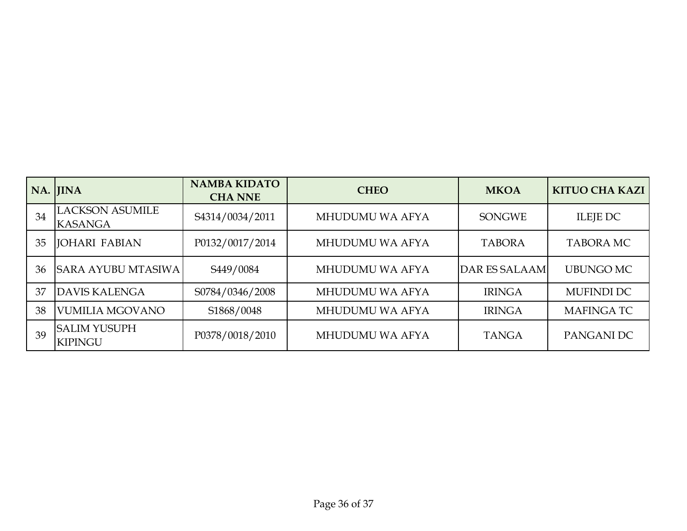|    | NA. JINA                                 | <b>NAMBA KIDATO</b><br><b>CHA NNE</b> | <b>CHEO</b>     | <b>MKOA</b>          | <b>KITUO CHA KAZI</b> |
|----|------------------------------------------|---------------------------------------|-----------------|----------------------|-----------------------|
| 34 | <b>LACKSON ASUMILE</b><br><b>KASANGA</b> | S4314/0034/2011                       | MHUDUMU WA AFYA | <b>SONGWE</b>        | ILEJE DC              |
| 35 | <b>JOHARI FABIAN</b>                     | P0132/0017/2014                       | MHUDUMU WA AFYA | <b>TABORA</b>        | <b>TABORA MC</b>      |
| 36 | <b>SARA AYUBU MTASIWA</b>                | S449/0084                             | MHUDUMU WA AFYA | <b>DAR ES SALAAM</b> | <b>UBUNGO MC</b>      |
| 37 | <b>DAVIS KALENGA</b>                     | S0784/0346/2008                       | MHUDUMU WA AFYA | <b>IRINGA</b>        | <b>MUFINDI DC</b>     |
| 38 | <b>VUMILIA MGOVANO</b>                   | S1868/0048                            | MHUDUMU WA AFYA | <b>IRINGA</b>        | <b>MAFINGATC</b>      |
| 39 | <b>SALIM YUSUPH</b><br><b>KIPINGU</b>    | P0378/0018/2010                       | MHUDUMU WA AFYA | <b>TANGA</b>         | PANGANI DC            |